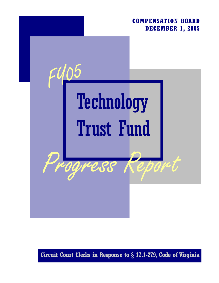## **COMPENSATION BOARD DECEMBER 1, 2005**



**Circuit Court Clerks in Response to § 17.1-279, Code of Virginia**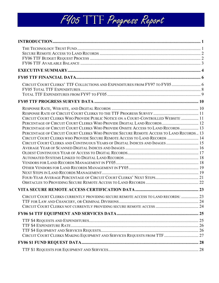| CIRCUIT COURT CLERKS' TTF COLLECTIONS AND EXPENDITURES FROM FY97 TO FY05 6                                                                                                                                                                                                                                                                                                                                                                                                                           |  |
|------------------------------------------------------------------------------------------------------------------------------------------------------------------------------------------------------------------------------------------------------------------------------------------------------------------------------------------------------------------------------------------------------------------------------------------------------------------------------------------------------|--|
|                                                                                                                                                                                                                                                                                                                                                                                                                                                                                                      |  |
| CIRCUIT COURT CLERKS WHO PROVIDE PUBLIC NOTICE ON A COURT-CONTROLLED WEBSITE  11<br>PERCENTAGE OF CIRCUIT COURT CLERKS WHO PROVIDE DIGITAL LAND RECORDS 12<br>PERCENTAGE OF CIRCUIT COURT CLERKS WHO PROVIDE ONSITE ACCESS TO LAND RECORDS  13<br>PERCENTAGE OF CIRCUIT COURT CLERKS WHO PROVIDE SECURE REMOTE ACCESS TO LAND RECORDS 13<br>CIRCUIT COURT CLERKS WHO PROVIDE SECURE REMOTE ACCESS TO LAND RECORDS  14<br>CIRCUIT COURT CLERKS AND CONTINUOUS YEARS OF DIGITAL INDICES AND IMAGES  15 |  |
|                                                                                                                                                                                                                                                                                                                                                                                                                                                                                                      |  |
| CIRCUIT COURT CLERKS CURRENTLY PROVIDING SECURE REMOTE ACCESS TO LAND RECORDS:  23                                                                                                                                                                                                                                                                                                                                                                                                                   |  |
|                                                                                                                                                                                                                                                                                                                                                                                                                                                                                                      |  |
| CIRCUIT COURT CLERKS MAKING EQUIPMENT AND SERVICES REQUESTS FROM TTF  27                                                                                                                                                                                                                                                                                                                                                                                                                             |  |
|                                                                                                                                                                                                                                                                                                                                                                                                                                                                                                      |  |
|                                                                                                                                                                                                                                                                                                                                                                                                                                                                                                      |  |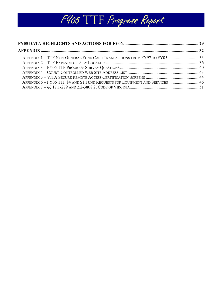

| APPENDIX 6 - FY06 TTF \$4 AND \$1 FUND REQUESTS FOR EQUIPMENT AND SERVICES 46 |  |
|-------------------------------------------------------------------------------|--|
|                                                                               |  |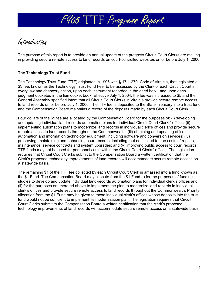

Introduction

The purpose of this report is to provide an annual update of the progress Circuit Court Clerks are making in providing secure remote access to land records on court-controlled websites on or before July 1, 2006.

## **The Technology Trust Fund**

The Technology Trust Fund (TTF) originated in 1996 with § 17.1-279, Code of Virginia, that legislated a \$3 fee, known as the Technology Trust Fund Fee, to be assessed by the Clerk of each Circuit Court in every law and chancery action, upon each instrument recorded in the deed book, and upon each judgment docketed in the lien docket book. Effective July 1, 2004, the fee was increased to \$5 and the General Assembly specified intent that all Circuit Court Clerks in Virginia provide secure remote access to land records on or before July 1, 2006. The TTF fee is deposited to the State Treasury into a trust fund and the Compensation Board maintains a record of the deposits made by each Circuit Court Clerk.

Four dollars of the \$5 fee are allocated by the Compensation Board for the purposes of: (i) developing and updating individual land records automation plans for individual Circuit Court Clerks' offices; (ii) implementing automation plans to modernize land records in individual clerk's offices and provide secure remote access to land records throughout the Commonwealth; (iii) obtaining and updating office automation and information technology equipment, including software and conversion services; (iv) preserving, maintaining and enhancing court records, including, but not limited to, the costs of repairs, maintenance, service contracts and system upgrades; and (v) improving public access to court records. TTF funds may not be used for personnel costs within the Circuit Court Clerks' offices. The legislation requires that Circuit Court Clerks submit to the Compensation Board a written certification that the Clerk's proposed technology improvements of land records will accommodate secure remote access on a statewide basis.

The remaining \$1 of the TTF fee collected by each Circuit Court Clerk is amassed into a fund known as the \$1 Fund. The Compensation Board may allocate from the \$1 Fund (i) for the purposes of funding studies to develop and update individual land-records automation plans for individual clerk's offices and (ii) for the purposes enumerated above to implement the plan to modernize land records in individual clerk's offices and provide secure remote access to land records throughout the Commonwealth. Priority allocation from the \$1 Fund may be given to those individual clerk's offices whose deposits into the trust fund would not be sufficient to implement its modernization plan. The legislation requires that Circuit Court Clerks submit to the Compensation Board a written certification that the clerk's proposed technology improvements of land records will accommodate secure remote access on a statewide basis.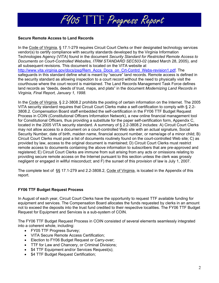

## **Secure Remote Access to Land Records**

In the Code of Virginia, § 17.1-279 requires Circuit Court Clerks or their designated technology services vendor(s) to certify compliance with security standards developed by the Virginia Information Technologies Agency (VITA) found in the document *Security Standard for Restricted Remote Access to Documents on Court-Controlled Websites, ITRM STANDARD SEC503-02* (dated March 28, 2005), and all subsequent revisions. This document is located on the VITA website at http://www.vita.virginia.gov/docs/psg/Rem\_Accs\_Docs\_on\_Crt-Contrd\_Webs-revision1.pdf. The safeguards in this standard define what is meant by "secure" land records. Remote access is defined in the security standard as allowing inspection to a court record without the need to physically visit the courthouse where the court record is maintained. The Land Records Management Task Force defines land records as "deeds, deeds of trust, maps, and plats" in the document *Modernizing Land Records in Virginia, Final Report, January 1, 1998.* 

In the Code of Virginia, § 2.2-3808.2 prohibits the posting of certain information on the Internet. The 2005 VITA security standard requires that Circuit Court Clerks make a self-certification to comply with § 2.2- 3808.2. Compensation Board staff embedded the self-certification in the FY06 TTF Budget Request Process in COIN (Constitutional Officers Information Network), a new online financial management tool for Constitutional Officers, thus providing a substitute for the paper self-certification form, Appendix C, located in the 2005 VITA security standard. A summary of § 2.2-3808.2 includes: A) Circuit Court Clerks may not allow access to a document on a court-controlled Web site with an actual signature, Social Security Number, date of birth, maiden name, financial account number, or name/age of a minor child; B) Circuit Court Clerks must post a list of documents routinely found on the court-controlled Web site; C) as provided by law, access to the original document is maintained; D) Circuit Court Clerks must restrict remote access to documents containing the above information to subscribers that are pre-approved and registered; E) Circuit Court Clerks are immune from suit arising from any acts or omissions relating to providing secure remote access on the Internet pursuant to this section unless the clerk was grossly negligent or engaged in willful misconduct; and F) the sunset of this provision of law is July 1, 2007.

The complete text of §§ 17.1-279 and 2.2-3808.2, Code of Virginia, is located in the Appendix of this report.

## **FY06 TTF Budget Request Process**

In August of each year, Circuit Court Clerks have the opportunity to request TTF available funding for equipment and services. The Compensation Board allocates the funds requested by clerks in an amount not to exceed the deposits into the trust fund credited to their respective localities. The FY06 TTF Budget Request for Equipment and Services is a sub-system of COIN.

The FY06 TTF Budget Request Process in COIN consisted of several elements seamlessly integrated into a coherent whole, including:

- FY05 TTF Progress Survey;
- VITA Secure Remote Access Certification;
- Election to FY06 Budget Request or Carry-over;
- TTF for Law and Chancery, or Criminal Divisions;
- \$4 TTF Equipment and/or Services Request(s);
- \$4 TTF Budget Request Certification;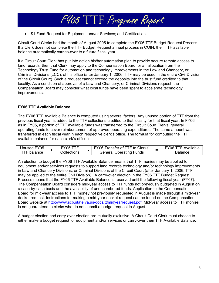

• \$1 Fund Request for Equipment and/or Services; and Certification.

Circuit Court Clerks had the month of August 2005 to complete the FY06 TTF Budget Request Process. If a Clerk does not complete the TTF Budget Request annual process in COIN, their TTF available balance automatically carries-over to a future fiscal year.

If a Circuit Court Clerk has put into action his/her automation plan to provide secure remote access to land records, then that Clerk may apply to the Compensation Board for an allocation from the Technology Trust Fund for automation and technology improvements in the Law and Chancery, or Criminal Divisions (LCC), of his office (after January 1, 2006, TTF may be used in the entire Civil Division of the Circuit Court). Such a request cannot exceed the deposits into the trust fund credited to that locality. As a condition of approval of a Law and Chancery, or Criminal Divisions request, the Compensation Board may consider what local funds have been spent to accelerate technology improvements.

## **FY06 TTF Available Balance**

The FY06 TTF Available Balance is computed using several factors. Any unused portion of TTF from the previous fiscal year is added to the TTF collections credited to that locality for that fiscal year. In FY06, as in FY05, a portion of TTF available funds was transferred to the Circuit Court Clerks' general operating funds to cover reimbursement of approved operating expenditures. The same amount was transferred in each fiscal year in each respective clerk's office. The formula for computing the TTF available balance for each clerk's office is:

| Unused FY05    | Y05         |   | Transfer of TTF to Clerks'<br>FY <sub>06</sub> | Available<br>106.<br>- |
|----------------|-------------|---|------------------------------------------------|------------------------|
| TF.<br>balance | Collections | - | l Operating Funds<br>seneral:                  | Balance                |

An election to budget the FY06 TTF Available Balance means that TTF monies may be applied to equipment and/or services requests to support land records technology and/or technology improvements in Law and Chancery Divisions, or Criminal Divisions of the Circuit Court (after January 1, 2006, TTF may be applied to the entire Civil Division). A carry-over election in the FY06 TTF Budget Request Process means that the FY06 TTF Available Balance is reserved until the following fiscal year (FY07). The Compensation Board considers mid-year access to TTF funds not previously budgeted in August on a case-by-case basis and the availability of unencumbered funds. Application to the Compensation Board for mid-year access to TTF money not previously requested in August is made through a mid-year docket request. Instructions for making a mid-year docket request can be found on the Compensation Board website at http://www.scb.state.va.us/docs/ttfmidyearrequest.pdf. Mid-year access to TTF monies is not guaranteed to clerks who do not submit a budget request in August.

A budget election and carry-over election are mutually exclusive. A Circuit Court Clerk must choose to either make a budget request for equipment and/or services or carry-over their TTF Available Balance.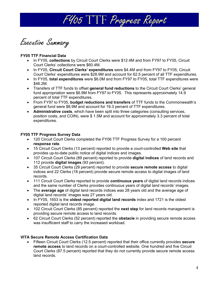

Executive Summary

## **FY05 TTF Financial Data**

- In FY05, **collections** by Circuit Court Clerks were \$12.4M and from FY97 to FY05, Circuit Court Clerks' collections were \$60.4M.
- In FY05, **Circuit Court Clerks' expenditures** were \$4.4M and from FY97 to FY05, Circuit Court Clerks' expenditures were \$28.9M and account for 62.5 percent of all TTF expenditures.
- In FY05, **total expenditures** were \$6.0M and from FY97 to FY05, total TTF expenditures were \$46.2M.
- Transfers of TTF funds to offset **general fund reductions** to the Circuit Court Clerks' general fund appropriation were \$6.9M from FY97 to FY05. This represents approximately 14.9 percent of total TTF expenditures.
- From FY97 to FY05, **budget reductions and transfers** of TTF funds to the Commonwealth's general fund were \$8.9M and account for 19.3 percent of TTF expenditures.
- **Administrative costs**, which have been split into three categories (consulting services, position costs, and COIN), were \$ 1.5M and account for approximately 3.3 percent of total expenditures.

## **FY05 TTF Progress Survey Data**

- 120 Circuit Court Clerks completed the FY06 TTF Progress Survey for a 100 percent **response rate**.
- 15 Circuit Court Clerks (13 percent) reported to provide a court-controlled **Web site** that provides up-to-date public notice of digital indices and images.
- 107 Circuit Court Clerks (89 percent) reported to provide **digital indices** of land records and 112 provide **digital images** (93 percent).
- 35 Circuit Court Clerks (29 percent) reported to provide **secure remote access** to digital indices and 22 Clerks (18 percent) provide secure remote access to digital images of land records.
- 111 Circuit Court Clerks reported to provide **continuous years** of digital land records indices and the same number of Clerks provides continuous years of digital land records' images.
- The **average age** of digital land records indices was 28 years old and the average age of digital land records' images was 27 years old.
- In FY05, 1653 is the **oldest reported digital land records** index and 1721 is the oldest reported digital land records image.
- 102 Circuit Court Clerks (85 percent) reported the **next step** for land records management is providing secure remote access to land records.
- 62 Circuit Court Clerks (52 percent) reported the **obstacle** in providing secure remote access was insufficient staff to carry the increased workload.

## **VITA Secure Remote Access Certification Data**

• Fifteen Circuit Court Clerks (12.5 percent) reported that their office currently provides **secure remote access** to land records on a court-controlled website. One hundred and five Circuit Court Clerks (87.5 percent) reported that they do not currently provide secure remote access land records.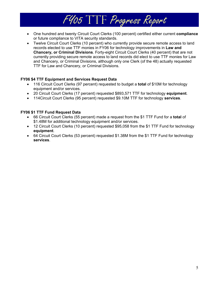- One hundred and twenty Circuit Court Clerks (100 percent) certified either current **compliance** or future compliance to VITA security standards.
- Twelve Circuit Court Clerks (10 percent) who currently provide secure remote access to land records elected to use TTF monies in FY06 for technology improvements in **Law and Chancery, or Criminal Divisions**. Forty-eight Circuit Court Clerks (40 percent) that are not currently providing secure remote access to land records did elect to use TTF monies for Law and Chancery, or Criminal Divisions, although only one Clerk (of the 48) actually requested TTF for Law and Chancery, or Criminal Divisions.

## **FY06 \$4 TTF Equipment and Services Request Data**

- 116 Circuit Court Clerks (97 percent) requested to budget a **total** of \$10M for technology equipment and/or services.
- 20 Circuit Court Clerks (17 percent) requested \$893,571 TTF for technology **equipment**.
- 114Circuit Court Clerks (95 percent) requested \$9.10M TTF for technology **services**.

## **FY06 \$1 TTF Fund Request Data**

- 66 Circuit Court Clerks (55 percent) made a request from the \$1 TTF Fund for a **total** of \$1.48M for additional technology equipment and/or services.
- 12 Circuit Court Clerks (10 percent) requested \$95,058 from the \$1 TTF Fund for technology **equipment**.
- 64 Circuit Court Clerks (53 percent) requested \$1.38M from the \$1 TTF Fund for technology **services**.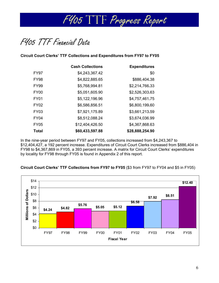

FY05 TTF Financial Data

**Circuit Court Clerks' TTF Collections and Expenditures from FY97 to FY05** 

|                  | <b>Cash Collections</b> | <b>Expenditures</b> |
|------------------|-------------------------|---------------------|
| FY97             | \$4,243,367.42          | \$0                 |
| <b>FY98</b>      | \$4,822,885.65          | \$886,404.38        |
| <b>FY99</b>      | \$5,768,994.81          | \$2,214,766.33      |
| FY <sub>00</sub> | \$5,051,605.90          | \$2,526,303.63      |
| <b>FY01</b>      | \$5,122,196.96          | \$4,757,461.75      |
| <b>FY02</b>      | \$6,586,856.51          | \$6,800,199.60      |
| FY03             | \$7,921,175.89          | \$3,661,213.59      |
| <b>FY04</b>      | \$8,512,088.24          | \$3,674,036.99      |
| <b>FY05</b>      | \$12,404,426.50         | \$4,367,868.63      |
| <b>Total</b>     | \$60,433,597.88         | \$28,888,254.90     |

In the nine-year period between FY97 and FY05, collections increased from \$4,243,367 to \$12,404,427, a 192 percent increase. Expenditures of Circuit Court Clerks increased from \$886,404 in FY98 to \$4,367,869 in FY05, a 393 percent increase. A matrix for Circuit Court Clerks' expenditures by locality for FY98 through FY05 is found in Appendix 2 of this report.

**Circuit Court Clerks' TTF Collections from FY97 to FY05** (\$3 from FY97 to FY04 and \$5 in FY05)

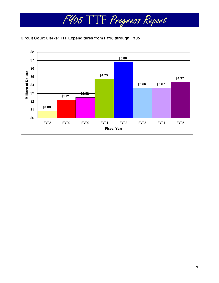

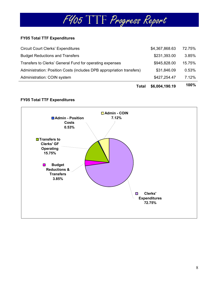## **FY05 Total TTF Expenditures**

| Total                                                                 | \$6,004,190.19 | 100%   |
|-----------------------------------------------------------------------|----------------|--------|
| Administration: COIN system                                           | \$427,254.47   | 7.12%  |
| Administration: Position Costs (includes DPB appropriation transfers) | \$31,846.09    | 0.53%  |
| Transfers to Clerks' General Fund for operating expenses              | \$945,828.00   | 15.75% |
| <b>Budget Reductions and Transfers</b>                                | \$231,393.00   | 3.85%  |
| <b>Circuit Court Clerks' Expenditures</b>                             | \$4,367,868.63 | 72.75% |

## **FY05 Total TTF Expenditures**

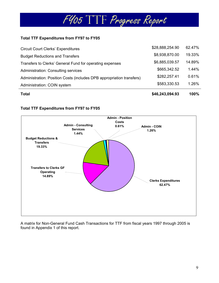

## **Total TTF Expenditures from FY97 to FY05**

| Total                                                                 | \$46,243,094.93 | 100%   |
|-----------------------------------------------------------------------|-----------------|--------|
| Administration: COIN system                                           | \$583,330.53    | 1.26%  |
| Administration: Position Costs (includes DPB appropriation transfers) | \$282,257.41    | 0.61%  |
| <b>Administration: Consulting services</b>                            | \$665,342.52    | 1.44%  |
| Transfers to Clerks' General Fund for operating expenses              | \$6,885,039.57  | 14.89% |
| <b>Budget Reductions and Transfers</b>                                | \$8,938,870.00  | 19.33% |
| <b>Circuit Court Clerks' Expenditures</b>                             | \$28,888,254.90 | 62.47% |

## **Total TTF Expenditures from FY97 to FY05**



A matrix for Non-General Fund Cash Transactions for TTF from fiscal years 1997 through 2005 is found in Appendix 1 of this report.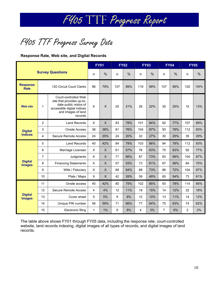FY05 TTF Progress Survey Data

## **Response Rate, Web site, and Digital Records**

|                                 |                |                                                                                                                                           |                           | <b>FY01</b>               |     | <b>FY02</b> |     | <b>FY03</b> |                | <b>FY04</b> |                | <b>FY05</b> |  |
|---------------------------------|----------------|-------------------------------------------------------------------------------------------------------------------------------------------|---------------------------|---------------------------|-----|-------------|-----|-------------|----------------|-------------|----------------|-------------|--|
|                                 |                | <b>Survey Questions</b>                                                                                                                   | n                         | $\%$                      | n   | %           | n   | %           | n              | $\%$        | n              | %           |  |
| <b>Response</b><br><b>Rate</b>  |                | 120 Circuit Court Clerks                                                                                                                  | 96                        | 79%                       | 107 | 89%         | 119 | 99%         | 107            | 89%         | 120            | 100%        |  |
| <b>Web site</b>                 | 1              | Court-controlled Web<br>site that provides up-to-<br>date public notice of<br>accessible digital indices<br>and images of land<br>records | X                         | $\times$                  | 25  | 21%         | 26  | 22%         | 30             | 25%         | 15             | 13%         |  |
|                                 | $\overline{2}$ | <b>Land Records</b>                                                                                                                       | X                         | $\boldsymbol{\mathsf{X}}$ | 83  | 78%         | 101 | 84%         | 92             | 77%         | 107            | 89%         |  |
| <b>Digital</b>                  | 3              | <b>Onsite Access</b>                                                                                                                      | 36                        | 38%                       | 81  | 76%         | 104 | 87%         | 93             | 78%         | 112            | 93%         |  |
| <b>Indices</b>                  | 4              | <b>Secure Remote Access</b>                                                                                                               | 24                        | 20%                       | 24  | 20%         | 32  | 27%         | 30             | 25%         | 35             | 29%         |  |
|                                 | 5              | <b>Land Records</b>                                                                                                                       | 40                        | 42%                       | 84  | 79%         | 103 | 86%         | 94             | 78%         | 112            | 93%         |  |
|                                 | 6              | Marriage Licenses                                                                                                                         | $\pmb{\times}$            | $\sf X$                   | 61  | 57%         | 76  | 63%         | 75             | 63%         | 92             | 77%         |  |
|                                 | $\overline{7}$ | Judgments                                                                                                                                 | $\boldsymbol{\mathsf{X}}$ | $\mathsf{x}$              | 71  | 66%         | 87  | 73%         | 83             | 69%         | 104            | 87%         |  |
| <b>Digital</b><br><b>Images</b> | 8              | <b>Financing Statements</b>                                                                                                               | $\pmb{\times}$            | $\times$                  | 57  | 53%         | 73  | 61%         | 67             | 56%         | 84             | 70%         |  |
|                                 | 9              | Wills / Fiduciary                                                                                                                         | X                         | $\sf X$                   | 68  | 64%         | 88  | 73%         | 86             | 72%         | 104            | 87%         |  |
|                                 | 10             | Plats / Maps                                                                                                                              | X                         | $\times$                  | 42  | 39%         | 59  | 49%         | 65             | 54%         | 73             | 61%         |  |
|                                 | 11             | Onsite access                                                                                                                             | 40                        | 42%                       | 80  | 75%         | 102 | 85%         | 93             | 78%         | 114            | 95%         |  |
|                                 | 12             | <b>Secure Remote Access</b>                                                                                                               | $\overline{4}$            | 4%                        | 12  | 11%         | 18  | 15%         | 14             | 12%         | 22             | 18%         |  |
| <b>Digital</b><br><b>Images</b> | 13             | Cover sheet                                                                                                                               | 5                         | 5%                        | 9   | 8%          | 12  | 10%         | 13             | 11%         | 14             | 12%         |  |
|                                 | 14             | Unique PIN number                                                                                                                         | 56                        | 59%                       | 71  | 66%         | 77  | 64%         | 75             | 63%         | 74             | 62%         |  |
|                                 | 15             | Electronic filing                                                                                                                         | 1                         | 1%                        | 9   | 8%          | 4   | 3%          | $\overline{7}$ | 6%          | $\overline{2}$ | 2%          |  |

The table above shows FY01 through FY05 data, including the response rate, court-controlled website, land records indexing, digital images of all types of records, and digital images of land records.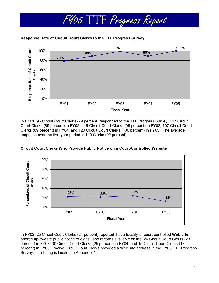



In FY01, 96 Circuit Court Clerks (79 percent) responded to the TTF Progress Survey; 107 Circuit Court Clerks (89 percent) in FY02; 119 Circuit Court Clerks (99 percent) in FY03; 107 Circuit Court Clerks (89 percent) in FY04; and 120 Circuit Court Clerks (100 percent) in FY05. The average response over the five-year period is 110 Clerks (92 percent).



## **Circuit Court Clerks Who Provide Public Notice on a Court-Controlled Website**

In FY02, 25 Circuit Court Clerks (21 percent) reported that a locality or court-controlled **Web site** offered up-to-date public notice of digital land records available online; 26 Circuit Court Clerks (23 percent) in FY03; 30 Circuit Court Clerks (25 percent) in FY04; and 15 Circuit Court Clerks (13 percent) in FY05. Twelve Circuit Court Clerks provided a Web site address in the FY05 TTF Progress Survey. The listing is located in Appendix 4.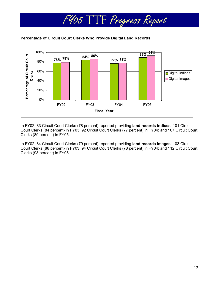

## **Percentage of Circuit Court Clerks Who Provide Digital Land Records**

In FY02, 83 Circuit Court Clerks (78 percent) reported providing **land records indices**; 101 Circuit Court Clerks (84 percent) in FY03; 92 Circuit Court Clerks (77 percent) in FY04; and 107 Circuit Court Clerks (89 percent) in FY05.

In FY02, 84 Circuit Court Clerks (79 percent) reported providing **land records images**; 103 Circuit Court Clerks (86 percent) in FY03; 94 Circuit Court Clerks (78 percent) in FY04; and 112 Circuit Court Clerks (93 percent) in FY05.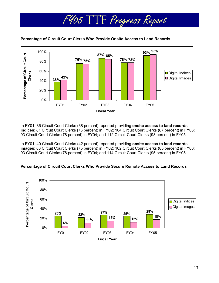

**Percentage of Circuit Court Clerks Who Provide Onsite Access to Land Records** 

In FY01, 36 Circuit Court Clerks (38 percent) reported providing **onsite access to land records indices**; 81 Circuit Court Clerks (76 percent) in FY02; 104 Circuit Court Clerks (87 percent) in FY03; 93 Circuit Court Clerks (78 percent) in FY04; and 112 Circuit Court Clerks (93 percent) in FY05.

In FY01, 40 Circuit Court Clerks (42 percent) reported providing **onsite access to land records images**; 80 Circuit Court Clerks (75 percent) in FY02; 102 Circuit Court Clerks (85 percent) in FY03; 93 Circuit Court Clerks (78 percent) in FY04; and 114 Circuit Court Clerks (95 percent) in FY05.

## **Percentage of Circuit Court Clerks Who Provide Secure Remote Access to Land Records**

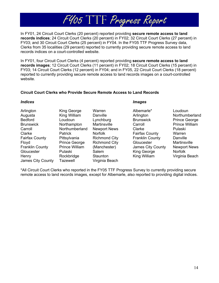In FY01, 24 Circuit Court Clerks (20 percent) reported providing **secure remote access to land records indices**; 24 Circuit Court Clerks (20 percent) in FY02; 32 Circuit Court Clerks (27 percent) in FY03; and 30 Circuit Court Clerks (25 percent) in FY04. In the FY05 TTF Progress Survey data, Clerks from 35 localities (29 percent) reported to currently providing secure remote access to land records indices on a court-controlled website.

FY05 TTF Progress Report

In FY01, four Circuit Court Clerks (4 percent) reported providing **secure remote access to land records images**; 12 Circuit Court Clerks (11 percent) in FY02; 18 Circuit Court Clerks (15 percent) in FY03; 14 Circuit Court Clerks (12 percent) in FY04; and in FY05, 22 Circuit Court Clerks (18 percent) reported to currently providing secure remote access to land records images on a court-controlled website.

## **Circuit Court Clerks who Provide Secure Remote Access to Land Records**

### *Indices Images*

| Arlington              | King George           | Warren               | Albemarle*             | Loudoun              |
|------------------------|-----------------------|----------------------|------------------------|----------------------|
| Augusta                | King William          | Danville             | Arlington              | Northumber           |
| Bedford                | Loudoun               | Lynchburg            | <b>Brunswick</b>       | <b>Prince Geor</b>   |
| <b>Brunswick</b>       | Northampton           | Martinsville         | Carroll                | <b>Prince Willia</b> |
| Carroll                | Northumberland        | <b>Newport News</b>  | Clarke                 | Pulaski              |
| Clarke                 | <b>Patrick</b>        | <b>Norfolk</b>       | <b>Fairfax County</b>  | Warren               |
| Fairfax County         | Pittsylvania          | <b>Richmond City</b> | <b>Franklin County</b> | Danville             |
| Floyd                  | <b>Prince George</b>  | <b>Richmond City</b> | Gloucester             | <b>Martinsville</b>  |
| <b>Franklin County</b> | <b>Prince William</b> | (Manchester)         | James City County      | Newport Ne           |
| Gloucester             | Pulaski               | Salem                | King George            | <b>Norfolk</b>       |
| Henry                  | Rockbridge            | Staunton             | King William           | Virginia Bea         |
| James City County      | Tazewell              | Virginia Beach       |                        |                      |

Danville **Arlington** Northumberland Lynchburg Brunswick Prince George Martinsville Carroll **Carroll** Prince William Newport News Clarke **Pulaski** Norfolk **Fairfax County** Warren Richmond City Franklin County Danville (Manchester) James City County Newport News Salem King George Norfolk Staunton King William Virginia Beach

\*All Circuit Court Clerks who reported in the FY05 TTF Progress Survey to currently providing secure remote access to land records images, except for Albemarle, also reported to providing digital indices.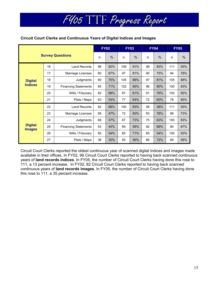## **Circuit Court Clerks and Continuous Years of Digital Indices and Images**

|                                 |    |                             |    | <b>FY02</b> | <b>FY03</b> |      |    | <b>FY04</b> |     | <b>FY05</b> |
|---------------------------------|----|-----------------------------|----|-------------|-------------|------|----|-------------|-----|-------------|
| <b>Survey Questions</b>         |    |                             | n  | $\%$        | n           | $\%$ | n  | $\%$        | n   | %           |
|                                 | 16 | <b>Land Records</b>         | 98 | 82%         | 109         | 91%  | 99 | 83%         | 111 | 93%         |
|                                 | 17 | Marriage Licenses           | 80 | 67%         | 97          | 81%  | 90 | 75%         | 94  | 78%         |
| <b>Digital</b>                  | 18 | Judgments                   | 90 | 75%         | 105         | 88%  | 97 | 81%         | 105 | 88%         |
| <b>Indices</b>                  | 19 | <b>Financing Statements</b> | 85 | 71%         | 102         | 85%  | 96 | 80%         | 100 | 83%         |
|                                 | 20 | Wills / Fiduciary           | 82 | 68%         | 97          | 81%  | 91 | 76%         | 102 | 85%         |
|                                 | 21 | Plats / Maps                | 63 | 53%         | 77          | 64%  | 72 | 60%         | 78  | 65%         |
|                                 | 22 | <b>Land Records</b>         | 82 | 68%         | 100         | 83%  | 58 | 48%         | 111 | 93%         |
|                                 | 23 | Marriage Licenses           | 56 | 47%         | 72          | 60%  | 93 | 78%         | 88  | 73%         |
|                                 | 24 | Judgments                   | 68 | 57%         | 87          | 73%  | 75 | 63%         | 100 | 83%         |
| <b>Digital</b><br><b>Images</b> | 25 | <b>Financing Statements</b> | 53 | 44%         | 69          | 58%  | 82 | 68%         | 80  | 67%         |
|                                 | 26 | Wills / Fiduciary           | 65 | 54%         | 85          | 71%  | 65 | 54%         | 100 | 83%         |
|                                 | 27 | Plats / Maps                | 36 | 30%         | 55          | 46%  | 86 | 72%         | 69  | 58%         |

FY05 TTF Progress Report

Circuit Court Clerks reported the oldest continuous year of scanned digital indices and images made available in their offices. In FY02, 98 Circuit Court Clerks reported to having back scanned continuous years of **land records indices**. In FY05, the number of Circuit Court Clerks having done this rose to 111, a 13 percent increase. In FY02, 82 Circuit Court Clerks reported to having back scanned continuous years of **land records images**. In FY05, the number of Circuit Court Clerks having done this rose to 111, a 35 percent increase.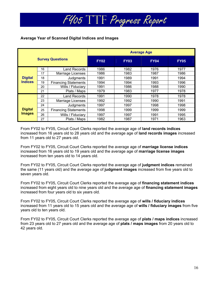## **Average Year of Scanned Digital Indices and Images**

|                         |    |                             | <b>Average Age</b> |             |             |             |  |  |  |  |
|-------------------------|----|-----------------------------|--------------------|-------------|-------------|-------------|--|--|--|--|
| <b>Survey Questions</b> |    |                             | <b>FY02</b>        | <b>FY03</b> | <b>FY04</b> | <b>FY05</b> |  |  |  |  |
|                         | 16 | Land Records                | 1986               | 1982        | 1976        | 1977        |  |  |  |  |
|                         | 17 | Marriage Licenses           | 1986               | 1983        | 1987        | 1986        |  |  |  |  |
| <b>Digital</b>          | 18 | Judgments                   | 1991               | 1989        | 1991        | 1994        |  |  |  |  |
| <b>Indices</b>          | 19 | <b>Financing Statements</b> | 1994               | 1994        | 1993        | 1996        |  |  |  |  |
|                         | 20 | Wills / Fiduciary           | 1991               | 1986        | 1988        | 1990        |  |  |  |  |
|                         | 21 | Plats / Maps                | 1979               | 1983        | 1977        | 1978        |  |  |  |  |
|                         | 22 | Land Records                | 1991               | 1990        | 1978        | 1978        |  |  |  |  |
|                         | 23 | Marriage Licenses           | 1992               | 1992        | 1990        | 1991        |  |  |  |  |
|                         | 24 | Judgments                   | 1997               | 1997        | 1998        | 1998        |  |  |  |  |
| <b>Digital</b>          | 25 | <b>Financing Statements</b> | 1998               | 1999        | 1999        | 1999        |  |  |  |  |
| <b>Images</b>           | 26 | Wills / Fiduciary           | 1997               | 1997        | 1991        | 1995        |  |  |  |  |
|                         | 27 | Plats / Maps                | 1982               | 1987        | 1971        | 1963        |  |  |  |  |

From FY02 to FY05, Circuit Court Clerks reported the average age of **land records indices**  increased from 16 years old to 28 years old and the average age of **land records images** increased from 11 years old to 27 years old.

From FY02 to FY05, Circuit Court Clerks reported the average age of **marriage license indices**  increased from 16 years old to 19 years old and the average age of **marriage license images** increased from ten years old to 14 years old.

From FY02 to FY05, Circuit Court Clerks reported the average age of **judgment indices** remained the same (11 years old) and the average age of **judgment images** increased from five years old to seven years old.

From FY02 to FY05, Circuit Court Clerks reported the average age of **financing statement indices**  increased from eight years old to nine years old and the average age of **financing statement images** increased from four years old to six years old.

From FY02 to FY05, Circuit Court Clerks reported the average age of **wills / fiduciary indices**  increased from 11 years old to 15 years old and the average age of **wills / fiduciary images** from five years old to ten years old.

From FY02 to FY05, Circuit Court Clerks reported the average age of **plats / maps indices** increased from 23 years old to 27 years old and the average age of **plats / maps images** from 20 years old to 42 years old.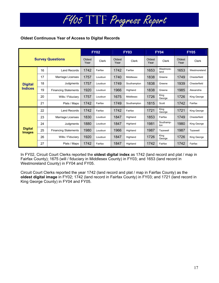## **Oldest Continuous Year of Access to Digital Records**

|                                 |                         |                             |      | <b>FY02</b>  |                | <b>FY03</b> |                | <b>FY04</b>       | <b>FY05</b>    |              |
|---------------------------------|-------------------------|-----------------------------|------|--------------|----------------|-------------|----------------|-------------------|----------------|--------------|
|                                 | <b>Survey Questions</b> |                             |      | <b>Clerk</b> | Oldest<br>Year | Clerk       | Oldest<br>Year | Clerk             | Oldest<br>Year | Clerk        |
|                                 | 16                      | <b>Land Records</b>         | 1742 | Fairfax      | 1742           | Fairfax     | 1653           | Westmore-<br>land | 1653           | Westmoreland |
|                                 | 17                      | Marriage Licenses           | 1757 | Loudoun      | 1740           | Middlesex   | 1838           | Greene            | 1749           | Chesterfield |
| <b>Digital</b>                  | 18                      | Judgments                   | 1757 | Loudoun      | 1749           | Southampton | 1838           | Greene            | 1939           | Chesterfield |
| <b>Indices</b>                  | 19                      | <b>Financing Statements</b> | 1920 | Loudoun      | 1966           | Highland    | 1838           | Greene            | 1985           | Alexandria   |
|                                 | 20                      | Wills / Fiduciary           | 1757 | Loudoun      | 1675           | Middlesex   | 1726           | King<br>George    | 1726           | King George  |
|                                 | 21                      | Plats / Maps                | 1742 | Fairfax      | 1749           | Southampton | 1815           | Scott             | 1742           | Fairfax      |
|                                 | 22                      | <b>Land Records</b>         | 1742 | Fairfax      | 1742           | Fairfax     | 1721           | King<br>George    | 1721           | King George  |
|                                 | 23                      | Marriage Licenses           | 1830 | Loudoun      | 1847           | Highland    | 1853           | Fairfax           | 1749           | Chesterfield |
|                                 | 24                      | Judgments                   | 1880 | Loudoun      | 1847           | Highland    | 1981           | Southamp-<br>ton  | 1980           | King George  |
| <b>Digital</b><br><b>Images</b> | 25                      | <b>Financing Statements</b> | 1980 | Loudoun      | 1966           | Highland    | 1987           | Tazewell          | 1987           | Tazewell     |
|                                 | 26                      | Wills / Fiduciary           | 1920 | Loudoun      | 1847           | Highland    | 1726           | King<br>George    | 1726           | King George  |
|                                 | 27                      | Plats / Maps                | 1742 | Fairfax      |                | Highland    | 1742           | Fairfax           | 1742           | Fairfax      |

In FY02, Circuit Court Clerks reported the **oldest digital index** as 1742 (land record and plat / map in Fairfax County); 1675 (will / fiduciary in Middlesex County) in FY03; and 1653 (land record in Westmoreland County) in FY04 and FY05.

Circuit Court Clerks reported the year 1742 (land record and plat / map in Fairfax County) as the **oldest digital image** in FY02; 1742 (land record in Fairfax County) in FY03; and 1721 (land record in King George County) in FY04 and FY05.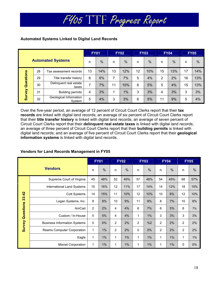## **Automated Systems Linked to Digital Land Records**

| <b>Automated Systems</b> |    |                                  | <b>FY01</b> |      | <b>FY02</b> |      | <b>FY03</b> |               | <b>FY04</b> |               | <b>FY05</b> |               |
|--------------------------|----|----------------------------------|-------------|------|-------------|------|-------------|---------------|-------------|---------------|-------------|---------------|
|                          |    |                                  | n           | $\%$ | n           | $\%$ | n           | $\frac{0}{0}$ | n           | $\frac{0}{6}$ | n           | $\frac{0}{0}$ |
|                          | 28 | Tax assessment records           | 13          | 14%  | 13          | 12%  | 12          | 10%           | 15          | 13%           | 17          | 14%           |
|                          | 29 | Title transfer history           | 6           | 6%   | 7           | 7%   | 5           | 4%            | 2           | 2%            | 16          | 13%           |
| Questions                | 30 | Delinquent real estate<br>taxes  | 7           | 7%   | 11          | 10%  | 6           | 5%            | 5           | 4%            | 15          | 13%           |
| Survey                   | 31 | <b>Building permits</b>          | 4           | 3%   |             | 1%   | 3           | 3%            | 4           | 3%            | 3           | 3%            |
|                          | 32 | Geological Information<br>System | 5           | 4%   | 3           | 3%   | 6           | 5%            | 11          | 9%            | 5           | 4%            |

Over the five-year period, an average of 12 percent of Circuit Court Clerks report that their **tax records** are linked with digital land records; an average of six percent of Circuit Court Clerks report that their **title transfer history** is linked with digital land records; an average of seven percent of Circuit Court Clerks report that their **delinquent real estate taxes** is linked with digital land records; an average of three percent of Circuit Court Clerks report that their **building permits** is linked with digital land records; and an average of five percent of Circuit Court Clerks report that their **geological information systems** is linked with digital land records.

|                         |                                     |                | <b>FY01</b>   |                | <b>FY02</b>   |                | <b>FY03</b>   |    | <b>FY04</b>   |                | <b>FY05</b>   |
|-------------------------|-------------------------------------|----------------|---------------|----------------|---------------|----------------|---------------|----|---------------|----------------|---------------|
|                         | <b>Vendors</b>                      | n              | $\frac{0}{0}$ | n              | $\frac{0}{0}$ | n              | $\frac{0}{0}$ | n  | $\frac{0}{0}$ | n              | $\frac{0}{0}$ |
|                         | Supreme Court of Virginia           | 45             | 48%           | 52             | 49%           | 57             | 48%           | 54 | 45%           | 68             | 57%           |
|                         | International Land Systems          | 15             | 16%           | 12             | 11%           | 17             | 14%           | 14 | 12%           | 18             | 15%           |
| 33-42                   | <b>Cott Systems</b>                 | 14             | 15%           | 11             | 10%           | 12             | 10%           | 10 | 8%            | 12             | 10%           |
|                         | Logan Systems, Inc.                 | 8              | 9%            | 10             | 9%            | 11             | 9%            | 8  | 7%            | 10             | 8%            |
|                         | AmCad                               | $\overline{2}$ | 2%            | 4              | 4%            | 6              | 7%            | 6  | 5%            | 8              | 7%            |
| <b>Survey Questions</b> | Custom / In-House                   | 5              | 5%            | 4              | 4%            | 1              | 1%            | 3  | 3%            | 3              | 3%            |
|                         | <b>Business Information Systems</b> | $\mathbf 0$    | 0%            | $\overline{2}$ | 2%            | $\overline{2}$ | %2            | 2  | 2%            | $\overline{2}$ | 2%            |
|                         | Reams Computer Corporation          | 1              | 1%            | $\overline{2}$ | 2%            | $\mathbf 0$    | 0%            | 2  | 2%            | 2              | 2%            |
|                         | Eagle                               | 1              | 1%            | 1              | 1%            | 1              | $1\%$         | 1  | $1\%$         | 1              | $1\%$         |
|                         | Mixnet Corporation                  | 1              | 1%            | 1              | 1%            | 1              | 1%            | 1  | $1\%$         | 0              | 0%            |

## **Vendors for Land Records Management in FY05**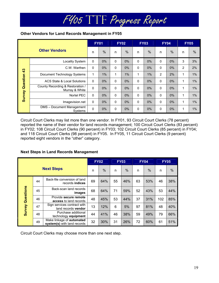## **Other Vendors for Land Records Management in FY05**

| <b>Other Vendors</b> |                                                    | <b>FY01</b>  |               | <b>FY02</b>  |               | <b>FY03</b>  |               | <b>FY04</b>    |      | <b>FY05</b>    |               |
|----------------------|----------------------------------------------------|--------------|---------------|--------------|---------------|--------------|---------------|----------------|------|----------------|---------------|
|                      |                                                    | n            | $\frac{0}{0}$ | n            | $\frac{0}{0}$ | n            | $\frac{0}{0}$ | n              | $\%$ | n              | $\frac{0}{0}$ |
|                      | Locality System                                    | 0            | 0%            | $\mathbf 0$  | 0%            | 0            | 0%            | $\mathbf 0$    | 0%   | 3              | 3%            |
|                      | C.W. Warthen                                       | $\Omega$     | 0%            | 0            | $0\%$         | 0            | $0\%$         | $\Omega$       | 0%   | $\overline{2}$ | 2%            |
| Question 43          | Document Technology Systems                        | 1            | $1\%$         | 1            | $1\%$         | $\mathbf{1}$ | $1\%$         | $\overline{2}$ | 2%   | 1              | 1%            |
|                      | ACS State & Local Solutions                        | $\mathbf{0}$ | $0\%$         | $\mathbf{0}$ | $0\%$         | 0            | $0\%$         | $\Omega$       | 0%   | 1              | $1\%$         |
|                      | County Recording & Restoration /<br>Murray & White | $\mathbf 0$  | $0\%$         | 0            | 0%            | 0            | $0\%$         | $\mathbf 0$    | 0%   | 1              | $1\%$         |
| Survey               | Nortel PEC                                         | $\Omega$     | $0\%$         | $\mathbf{0}$ | 0%            | 0            | 0%            | $\Omega$       | 0%   | 1              | 1%            |
|                      | Imagevision.net                                    | $\Omega$     | 0%            | $\mathbf{0}$ | $0\%$         | 0            | 0%            | $\Omega$       | 0%   | 1              | 1%            |
|                      | DMS - Document Management<br>Systems               | $\mathbf{0}$ | $0\%$         | $\mathbf{0}$ | $0\%$         | 0            | $0\%$         | $\Omega$       | 0%   | 1              | $1\%$         |

Circuit Court Clerks may list more than one vendor. In FY01, 93 Circuit Court Clerks (78 percent) reported the name of their vendor for land records management; 100 Circuit Court Clerks (83 percent) in FY02; 108 Circuit Court Clerks (90 percent) in FY03; 102 Circuit Court Clerks (85 percent) in FY04; and 118 Circuit Court Clerks (98 percent) in FY05. In FY05, 11 Circuit Court Clerks (9 percent) reported eight vendors in the "other" category.

## **Next Steps in Land Records Management**

|                         |    |                                                          |    | <b>FY02</b>   |    | <b>FY03</b> |    | <b>FY04</b>   |     | <b>FY05</b> |
|-------------------------|----|----------------------------------------------------------|----|---------------|----|-------------|----|---------------|-----|-------------|
| <b>Next Steps</b>       |    |                                                          | n  | $\frac{0}{0}$ | n  | $\%$        | n  | $\frac{0}{0}$ | n   | $\%$        |
|                         | 44 | Back-file conversion of land<br>records indices          | 69 | 64%           | 55 | 46%         | 63 | 53%           | 46  | 38%         |
| <b>Survey Questions</b> | 45 | Back-scan land records<br>images                         | 68 | 64%           | 71 | 59%         | 52 | 43%           | 53  | 44%         |
|                         | 46 | Provide secure remote<br>access to land records          | 48 | 45%           | 53 | 44%         | 37 | 31%           | 102 | 85%         |
|                         | 47 | Sign services contract with<br>land records vendor       | 13 | 12%           | 6  | 5%          | 97 | 81%           | 48  | 40%         |
|                         | 48 | Purchase additional<br>technology equipment              | 44 | 41%           | 46 | 38%         | 59 | 49%           | 79  | 66%         |
|                         | 49 | Make linkage of automated<br>system(s) with land records | 32 | 30%           | 31 | 26%         | 72 | 60%           | 61  | 51%         |

Circuit Court Clerks may choose more than one next step.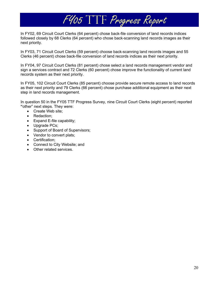In FY02, 69 Circuit Court Clerks (64 percent) chose back-file conversion of land records indices followed closely by 68 Clerks (64 percent) who chose back-scanning land records images as their next priority.

FY05 TTF Progress Report

In FY03, 71 Circuit Court Clerks (59 percent) choose back-scanning land records images and 55 Clerks (46 percent) chose back-file conversion of land records indices as their next priority.

In FY04, 97 Circuit Court Clerks (81 percent) chose select a land records management vendor and sign a services contract and 72 Clerks (60 percent) chose improve the functionality of current land records system as their next priority.

In FY05, 102 Circuit Court Clerks (85 percent) choose provide secure remote access to land records as their next priority and 79 Clerks (66 percent) chose purchase additional equipment as their next step in land records management.

In question 50 in the FY05 TTF Progress Survey, nine Circuit Court Clerks (eight percent) reported **"**other" next steps. They were:

- Create Web site;
- Redaction:
- Expand E-file capability;
- Upgrade PCs;
- Support of Board of Supervisors;
- Vendor to convert plats;
- Certification;
- Connect to City Website; and
- Other related services.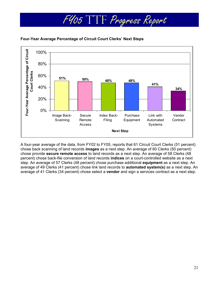



A four-year average of the data, from FY02 to FY05, reports that 61 Circuit Court Clerks (51 percent) chose back scanning of land records **images** as a next step. An average of 60 Clerks (50 percent) chose provide **secure remote access** to land records as a next step. An average of 58 Clerks (48 percent) chose back-file conversion of land records **indices** on a court-controlled website as a next step. An average of 57 Clerks (48 percent) chose purchase additional **equipment** as a next step. An average of 49 Clerks (41 percent) chose link land records to **automated system(s)** as a next step. An average of 41 Clerks (34 percent) chose select a **vendor** and sign a services contract as a next step.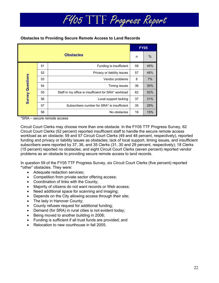## **Obstacles to Providing Secure Remote Access to Land Records**

|                         |    |                                                      |    | <b>FY05</b> |
|-------------------------|----|------------------------------------------------------|----|-------------|
|                         |    | <b>Obstacles</b>                                     | n  | %           |
|                         | 51 | Funding is insufficient                              | 59 | 49%         |
|                         | 52 | Privacy or liability issues                          |    | 48%         |
| <b>Survey Questions</b> | 53 | Vendor problems                                      | 8  | 7%          |
|                         | 54 | Timing issues                                        | 36 | 30%         |
|                         | 55 | Staff in my office is insufficient for SRA* workload | 62 | 52%         |
|                         | 56 | Local support lacking                                | 37 | 31%         |
|                         | 57 | Subscribers number for SRA* is insufficient          | 35 | 29%         |
|                         | 58 | No obstacles                                         | 18 | 15%         |

\*SRA – secure remote access

Circuit Court Clerks may choose more than one obstacle. In the FY05 TTF Progress Survey, 62 Circuit Court Clerks (52 percent) reported insufficient staff to handle the secure remote access workload as an obstacle; 59 and 57 Circuit Court Clerks (49 and 48 percent, respectively), reported funding and privacy or liability issues as obstacles; lack of local support, timing issues, and insufficient subscribers were reported by 37, 36, and 35 Clerks (31, 30 and 29 percent, respectively); 18 Clerks (15 percent) reported no obstacles; and eight Circuit Court Clerks (seven percent) reported vendor problems as an obstacle to providing secure remote access to land records.

In question 59 of the FY05 TTF Progress Survey, six Circuit Court Clerks (five percent) reported **"**other" obstacles. They were:

- Adequate redaction services;
- Competition from private sector offering access;
- Coordination of links with the County;
- Majority of citizens do not want records or Web access;
- Need additional space for scanning and imaging;
- Depends on the City allowing access through their site;
- The lady in Hanover County:
- County refuses request for additional funding;
- Demand (for SRA) in rural cities is not evident today;
- Being moved to another building in 2006;
- Funding is sufficient if all trust funds are provided; and
- Relocation to new courthouse in fall 2005.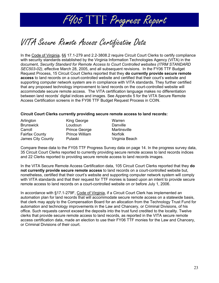

## VITA Secure Remote Access Certification Data

In the Code of Virginia, §§ 17.1-279 and 2.2-3808.2 require Circuit Court Clerks to certify compliance with security standards established by the Virginia Information Technologies Agency (VITA) in the document, *Security Standard for Remote Access to Court Controlled websites (ITRM STANDARD SEC503-02)*, effective March 28, 2005, and all subsequent revisions. In the FY06 TTF Budget Request Process, 15 Circuit Court Clerks reported that they **do currently provide secure remote access** to land records on a court-controlled website and certified that their court's website and supporting computer network system are in compliance with VITA standards. They further certified that any proposed technology improvement to land records on the court-controlled website will accommodate secure remote access. The VITA certification language makes no differentiation between land records' digital indices and images. See Appendix 5 for the VITA Secure Remote Access Certification screens in the FY06 TTF Budget Request Process in COIN.

## **Circuit Court Clerks currently providing secure remote access to land records:**

| Arlington             |
|-----------------------|
| <b>Brunswick</b>      |
| Carroll               |
| <b>Fairfax County</b> |
| James City County     |

Loudoun Danville Prince George Martinsville Prince William Norfolk

King George Warren Pulaski Virginia Beach

Compare these data to the FY05 TTF Progress Survey data on page 14. In the progress survey data, 35 Circuit Court Clerks reported to currently providing secure remote access to land records indices and 22 Clerks reported to providing secure remote access to land records images.

In the VITA Secure Remote Access Certification data, 105 Circuit Court Clerks reported that they **do not currently provide secure remote access** to land records on a court-controlled website but, nonetheless, certified that their court's website and supporting computer network system will comply with VITA standards and that their request for TTF monies is based upon an intent to provide secure remote access to land records on a court-controlled website on or before July 1, 2006.

In accordance with §17.1-279F, Code of Virginia, if a Circuit Court Clerk has implemented an automation plan for land records that will accommodate secure remote access on a statewide basis, that clerk may apply to the Compensation Board for an allocation from the Technology Trust Fund for automation and technology improvements in the Law and Chancery, or Criminal Divisions, of his office. Such requests cannot exceed the deposits into the trust fund credited to the locality. Twelve clerks that provide secure remote access to land records, as reported in the VITA secure remote access certification data, made an election to use their FY06 TTF monies for the Law and Chancery, or Criminal Divisions of their court.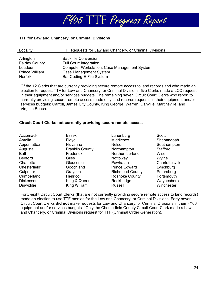

## **TTF for Law and Chancery, or Criminal Divisions**

| Locality              | TTF Requests for Law and Chancery, or Criminal Divisions |
|-----------------------|----------------------------------------------------------|
|                       |                                                          |
| Arlington             | <b>Back file Conversion</b>                              |
| <b>Fairfax County</b> | <b>Full Court Integration</b>                            |
| Loudoun               | <b>Computer Workstation; Case Management System</b>      |
| <b>Prince William</b> | <b>Case Management System</b>                            |
| <b>Norfolk</b>        | Bar Coding E-File System                                 |

Of the 12 Clerks that are currently providing secure remote access to land records and who made an election to request TTF for Law and Chancery, or Criminal Divisions, five Clerks made a LCC request in their equipment and/or services budgets. The remaining seven Circuit Court Clerks who report to currently providing secure remote access made only land records requests in their equipment and/or services budgets: Carroll, James City County, King George, Warren, Danville, Martinsville, and Virginia Beach.

### **Circuit Court Clerks not currently providing secure remote access**

| <b>Accomack</b> | <b>Essex</b>           | Lunenburg              | Scott           |
|-----------------|------------------------|------------------------|-----------------|
| Amelia          | Floyd                  | <b>Middlesex</b>       | Shenandoah      |
| Appomattox      | Fluvanna               | <b>Nelson</b>          | Southampton     |
| Augusta         | <b>Franklin County</b> | Northampton            | Stafford        |
| Bath            | Frederick              | Northumberland         | Wise            |
| <b>Bedford</b>  | Giles                  | Nottoway               | Wythe           |
| Charlotte       | Gloucester             | Powhatan               | Charlottesville |
| Chesterfield*   | Goochland              | <b>Prince Edward</b>   | Lynchburg       |
| Culpeper        | Grayson                | <b>Richmond County</b> | Petersburg      |
| Cumberland      | Henrico                | Roanoke County         | Portsmouth      |
| Dickenson       | King & Queen           | Rockbridge             | Waynesboro      |
| Dinwiddie       | King William           | <b>Russell</b>         | Winchester      |

Forty-eight Circuit Court Clerks (that are not currently providing secure remote access to land records) made an election to use TTF monies for the Law and Chancery, or Criminal Divisions. Forty-seven Circuit Court Clerks **did not** make requests for Law and Chancery, or Criminal Divisions in their FY06 equipment and/or services budgets. \*Only the Chesterfield County Circuit Court Clerk made a Law and Chancery, or Criminal Divisions request for TTF (Criminal Order Generation).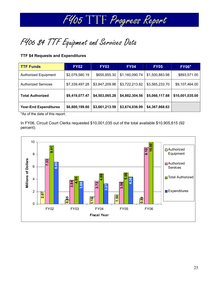

FY06 \$4 TTF Equipment and Services Data

## **TTF \$4 Requests and Expenditures**

| <b>TTF Funds</b>                                                                                                                                                                                                                                                  | <b>FY02</b>    | <b>FY03</b>    | <b>FY04</b>    | <b>FY05</b>    | <b>FY06*</b>    |
|-------------------------------------------------------------------------------------------------------------------------------------------------------------------------------------------------------------------------------------------------------------------|----------------|----------------|----------------|----------------|-----------------|
| <b>Authorized Equipment</b>                                                                                                                                                                                                                                       | \$2,079,580.19 | \$655,855.30   | \$1,160,090.74 | \$1,500,883.98 | \$893,571.00    |
| <b>Authorized Services</b>                                                                                                                                                                                                                                        | \$7,339,497.28 | \$3,847,209.98 | \$3,722,213.82 | \$3,565,233.70 | \$9,107,464.00  |
| <b>Total Authorized</b>                                                                                                                                                                                                                                           | \$9,419,077.47 | \$4,503,065.28 | \$4,882,304.56 | \$5,066,117.68 | \$10,001,035.00 |
| <b>Year-End Expenditures</b><br>$\mathbf{A}$ . The set of the set of the set of the set of the set of the set of the set of the set of the set of the set of the set of the set of the set of the set of the set of the set of the set of the set of the set of t | \$6,800,199.60 | \$3,661,213.59 | \$3,674,036.99 | \$4,367,868.63 |                 |

\*As of the date of this report.

In FY06, Circuit Court Clerks requested \$10,001,035 out of the total available \$10,905,615 (92 percent).

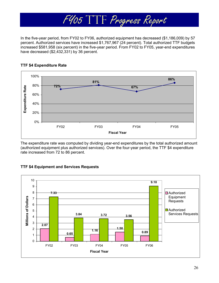

In the five-year period, from FY02 to FY06, authorized equipment has decreased (\$1,186,009) by 57 percent. Authorized services have increased \$1,767,967 (24 percent). Total authorized TTF budgets increased \$581,958 (six percent) in the five-year period. From FY02 to FY05, year-end expenditures have decreased (\$2,432,331) by 36 percent.



## **TTF \$4 Expenditure Rate**

The expenditure rate was computed by dividing year-end expenditures by the total authorized amount (authorized equipment plus authorized services). Over the four-year period, the TTF \$4 expenditure rate increased from 72 to 86 percent.



## **TTF \$4 Equipment and Services Requests**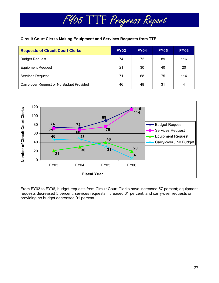## **Circuit Court Clerks Making Equipment and Services Requests from TTF**

| <b>Requests of Circuit Court Clerks</b>  | <b>FY03</b> | <b>FY04</b> | <b>FY05</b> | <b>FY06</b> |
|------------------------------------------|-------------|-------------|-------------|-------------|
| <b>Budget Request</b>                    | 74          | 72          | 89          | 116         |
| <b>Equipment Request</b>                 | 21          | 30          | 40          | 20          |
| Services Request                         | 71          | 68          | 75          | 114         |
| Carry-over Request or No Budget Provided | 46          | 48          | 31          | 4           |

FY05 TTF Progress Report



From FY03 to FY06, budget requests from Circuit Court Clerks have increased 57 percent; equipment requests decreased 5 percent; services requests increased 61 percent; and carry-over requests or providing no budget decreased 91 percent.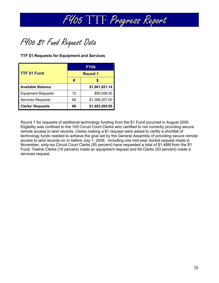

FY06 \$1 Fund Request Data

## **TTF \$1 Requests for Equipment and Services**

|                           | <b>FY06</b>       |                |  |  |
|---------------------------|-------------------|----------------|--|--|
| <b>TTF \$1 Fund</b>       | <b>Round 1</b>    |                |  |  |
|                           | #                 |                |  |  |
| <b>Available Balance</b>  |                   | \$1,961,821.14 |  |  |
| <b>Equipment Requests</b> | $12 \overline{ }$ | \$95,058.00    |  |  |
| <b>Services Requests</b>  | 64                | \$1,388,207.00 |  |  |
| <b>Clerks' Requests</b>   | 66                | \$1,483,265.00 |  |  |

Round 1 for requests of additional technology funding from the \$1 Fund occurred in August 2005. Eligibility was confined to the 105 Circuit Court Clerks who certified to not currently providing secure remote access to land records. Clerks making a \$1 request were asked to certify a shortfall of technology funds needed to achieve the goal set by the General Assembly of providing secure remote access to land records on or before July 1, 2006. Including one mid-year docket request made in November, sixty-six Circuit Court Clerks (55 percent) have requested a total of \$1.48M from the \$1 Fund. Twelve Clerks (10 percent) made an equipment request and 64 Clerks (53 percent) made a services request.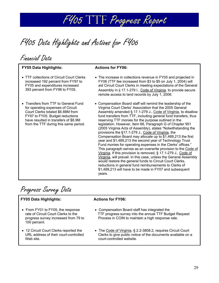

FY05 Data Highlights and Actions for FY06

Financial Data

## **FY05 Data Highlights: Actions for FY06:**

- TTF collections of Circuit Court Clerks increased 192 percent from FY97 to FY05 and expenditures increased 393 percent from FY98 to FY05.
- Transfers from TTF to General Fund for operating expenses of Circuit Court Clerks totaled \$6.88M from FY97 to FY05. Budget reductions have resulted in transfers of \$8.9M from the TTF during this same period.

- The increase in collections revenue in FY05 and projected in FY06 (TTF fee increased from \$3 to \$5 on July 1, 2004) will aid Circuit Court Clerks in meeting expectations of the General Assembly in § 17.1-279 I., Code of Virginia, to provide secure remote access to land records by July 1, 2006.
- Compensation Board staff will remind the leadership of the Virginia Court Clerks' Association that the 2005 General Assembly amended § 17.1-279 J., Code of Virginia, to disallow fund transfers from TTF, including general fund transfers, thus reserving TTF monies for the purpose outlined in the legislation. However, Item 66, Paragraph G of Chapter 951 (2005 Virginia Acts of Assembly), states "Notwithstanding the provisions the §17.1-279 J., Code of Virginia, the Compensation Board may allocate up to \$1,489,213 the first year and \$1,489,213 the second year of Technology Trust Fund monies for operating expenses in the Clerks' offices." This paragraph serves as an overwrite provision to the Code of Virginia. If this provision is removed, § 17.1-279 J., Code of Virginia, will prevail. In this case, unless the General Assembly would restore the general funds to Circuit Court Clerks, reductions in general fund reimbursements to Clerks of \$1,489,213 will have to be made in FY07 and subsequent years.

Progress Survey Data

## **FY05 Data Highlights: Actions for FY06:**

- From FY01 to FY05, the response rate of Circuit Court Clerks to the progress survey increased from 79 to 100 percent.
- 12 Circuit Court Clerks reported the URL address of their court-controlled Web site.

- Compensation Board staff has integrated the TTF progress survey into the annual TTF Budget Request Process in COIN to maintain a high response rate.
- The Code of Virginia, § 2.2-3808.2, requires Circuit Court Clerks to give public notice of the documents available on a court-controlled website.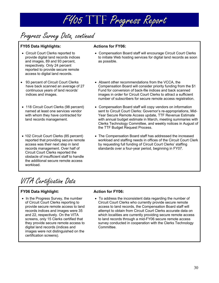

## Progress Survey Data, continued

## **FY05 Data Highlights: Actions for FY06:**

- Circuit Court Clerks reported to provide digital land records indices and images, 89 and 93 percent, respectively. Only 24 percent reported to provide secure remote access to digital land records.
- 93 percent of Circuit Court Clerks have back scanned an average of 27 continuous years of land records' indices and images.
- 118 Circuit Court Clerks (98 percent) named at least one services vendor with whom they have contracted for land records management.
- 102 Circuit Court Clerks (85 percent) reported that providing secure remote access was their next step in land records management. Over half of Circuit Court Clerks reported the obstacle of insufficient staff to handle the additional secure remote access workload.

- Compensation Board staff will encourage Circuit Court Clerks to initiate Web hosting services for digital land records as soon as possible.
- Absent other recommendations from the VCCA, the Compensation Board will consider priority funding from the \$1 Fund for conversion of back-file indices and back scanned images in order for Circuit Court Clerks to attract a sufficient number of subscribers for secure remote access registration.
- Compensation Board staff will copy vendors on information sent to Circuit Court Clerks: Governor's re-appropriations, Mid-Year Secure Remote Access update, TTF Revenue Estimate with annual budget estimate in March, meeting summaries with Clerks Technology Committee, and weekly notices in August of the TTF Budget Request Process.
- The Compensation Board staff has addressed the increased workload and staffing needs in offices of the Circuit Court Clerk by requesting full funding of Circuit Court Clerks' staffing standards over a four-year period, beginning in FY07.

## VITA Certification Data

## **FY06 Data Highlight: Action for FY06:**

• In the Progress Survey, the number of Circuit Court Clerks reporting to provide secure remote access to land records indices and images were 35 and 22, respectively. On the VITA screens, only 15 Clerks certified that they provide secure remote access to digital land records (indices and images were not distinguished on the certification screens).

• To address the inconsistent data regarding the number of Circuit Court Clerks who currently provide secure remote access to land records, the Compensation Board staff will attempt to obtain from Circuit Court Clerks accurate data on which localities are currently providing secure remote access to land records through a mid-FY06 secure remote access survey conducted in cooperation with the Clerks Technology Committee.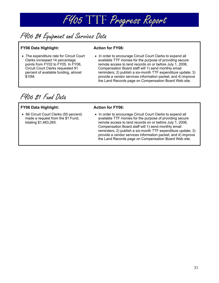

## FY06 \$4 Equipment and Services Data

## **FY06 Data Highlight: Action for FY06:**

• The expenditure rate for Circuit Court Clerks increased 14 percentage points from FY02 to FY05. In FY06, Circuit Court Clerks requested 91 percent of available funding, almost \$10M.

• In order to encourage Circuit Court Clerks to expend all available TTF monies for the purpose of providing secure remote access to land records on or before July 1, 2006, Compensation Board staff will 1) send monthly email reminders; 2) publish a six-month TTF expenditure update; 3) provide a vendor services information packet; and 4) improve the Land Records page on Compensation Board Web site.

FY06 \$1 Fund Data

## **FY06 Data Highlight: Action for FY06:**

• 66 Circuit Court Clerks (55 percent) made a request from the \$1 Fund, totaling \$1,483,265.

• In order to encourage Circuit Court Clerks to expend all available TTF monies for the purpose of providing secure remote access to land records on or before July 1, 2006, Compensation Board staff will 1) send monthly email reminders; 2) publish a six-month TTF expenditure update; 3) provide a vendor services information packet; and 4) improve the Land Records page on Compensation Board Web site.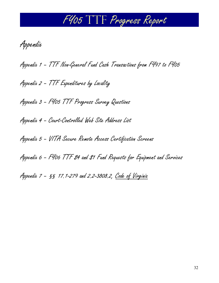Appendix

Appendix 1 – TTF Non-General Fund Cash Transactions from FY97 to FY05

Appendix 2 – TTF Expenditures by Locality

Appendix 3 – FY05 TTF Progress Survey Questions

Appendix 4 – Court-Controlled Web Site Address List

Appendix 5 – VITA Secure Remote Access Certification Screens

Appendix 6 - F406 TTF 84 and 81 Fund Requests for Equipment and Services

Appendix 7 – §§ 17.1-279 and 2.2-3808.2, Code of Virginia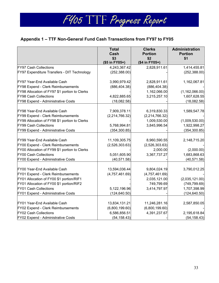## **Appendix 1 – TTF Non-General Fund Cash Transactions from FY97 to FY05**

|                                               | <b>Total</b><br>Cash | <b>Clerks</b><br><b>Portion</b> | <b>Administration</b><br><b>Portion</b> |
|-----------------------------------------------|----------------------|---------------------------------|-----------------------------------------|
|                                               | \$3                  | \$2                             | \$1                                     |
|                                               | (\$5 in FY05+)       | (\$4 in FY05+)                  |                                         |
| <b>FY97 Cash Collections</b>                  | 4,243,367.42         | 2,828,911.61                    | 1,414,455.81                            |
| FY97 Expenditure Transfers - DIT Technology   | (252, 388.00)        |                                 | (252, 388.00)                           |
| FY97 Year-End Available Cash                  | 3,990,979.42         | 2,828,911.61                    | 1,162,067.81                            |
| FY98 Expend - Clerk Reimbursements            | (886, 404.38)        | (886, 404.38)                   |                                         |
| FY98 Allocation of FY97 \$1 portion to Clerks |                      | 1,162,066.00                    | (1, 162, 066.00)                        |
| <b>FY98 Cash Collections</b>                  | 4,822,885.65         | 3,215,257.10                    | 1,607,628.55                            |
| FY98 Expend - Administrative Costs            | (18,082.58)          |                                 | (18,082.58)                             |
| FY98 Year-End Available Cash                  | 7,909,378.11         | 6,319,830.33                    | 1,589,547.78                            |
| FY99 Expend - Clerk Reimbursements            | (2,214,766.32)       | (2,214,766.32)                  |                                         |
| FY99 Allocation of FY98 \$1 portion to Clerks |                      | 1,009,530.00                    | (1,009,530.00)                          |
| <b>FY99 Cash Collections</b>                  | 5,768,994.81         | 3,845,996.54                    | 1,922,998.27                            |
| FY99 Expend - Administrative Costs            | (354, 300.85)        |                                 | (354, 300.85)                           |
| FY99 Year-End Available Cash                  | 11,109,305.75        | 8,960,590.55                    | 2,148,715.20                            |
| FY00 Expend - Clerk Reimbursements            | (2,526,303.63)       | (2,526,303.63)                  |                                         |
| FY00 Allocation of FY99 \$1 portion to Clerks |                      | 2,000.00                        | (2,000.00)                              |
| <b>FY00 Cash Collections</b>                  | 5,051,605.90         | 3,367,737.27                    | 1,683,868.63                            |
| FY00 Expend - Administrative Costs            | (40, 571.58)         |                                 | (40, 571.58)                            |
| FY00 Year-End Available Cash                  | 13,594,036.44        | 9,804,024.19                    | 3,790,012.25                            |
| FY01 Expend - Clerk Reimbursements            | (4,757,461.69)       | (4,757,461.69)                  |                                         |
| FY01 Allocation of FY00 \$1 portion/RIF1      |                      | 2,035,121.00                    | (2,035,121.00)                          |
| FY01 Allocation of FY00 \$1 portion/RIF2      |                      | 749,799.69                      | (749, 799.69)                           |
| <b>FY01 Cash Collections</b>                  | 5,122,196.96         | 3,414,797.97                    | 1,707,398.99                            |
| FY01 Expend - Administrative Costs            | (124, 640.50)        |                                 | (124, 640.50)                           |
| FY01 Year-End Available Cash                  | 13,834,131.21        | 11,246,281.16                   | 2,587,850.05                            |
| FY02 Expend - Clerk Reimbursements            | (6,800,199.60)       | (6,800,199.60)                  |                                         |
| FY02 Cash Collections                         | 6,586,856.51         | 4,391,237.67                    | 2,195,618.84                            |
| FY02 Expend - Administrative Costs            | (54, 158.43)         |                                 | (54, 158.43)                            |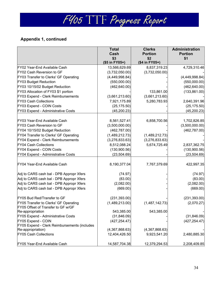|                                                                             | <b>Total</b><br>Cash | <b>Clerks</b><br><b>Portion</b> | <b>Administration</b><br><b>Portion</b> |
|-----------------------------------------------------------------------------|----------------------|---------------------------------|-----------------------------------------|
|                                                                             | \$3                  | \$2                             | \$1                                     |
|                                                                             | (\$5 in FY05+)       | (\$4 in FY05+)                  |                                         |
| FY02 Year-End Available Cash                                                | 13,566,629.69        | 8,837,319.23                    | 4,729,310.46                            |
| FY02 Cash Reversion to GF                                                   | (3,732,050.00)       | (3,732,050.00)                  |                                         |
| FY03 Transfer to Clerks' GF Operating                                       | (4,449,998.84)       |                                 | (4,449,998.84)                          |
| <b>FY03 Budget Reduction</b>                                                | (550,000.00)         |                                 | (550,000.00)                            |
| FY03 10/15/02 Budget Reduction                                              | (462, 640.00)        |                                 | (462, 640.00)                           |
| FY03 Allocation of FY03 \$1 portion                                         |                      | 133,861.00                      | (133, 861.00)                           |
| FY03 Expend - Clerk Reimbursements                                          | (3,661,213.60)       | (3,661,213.60)                  |                                         |
| <b>FY03 Cash Collections</b>                                                | 7,921,175.89         | 5,280,783.93                    | 2,640,391.96                            |
| FY03 Expend - COIN Costs                                                    | (25, 175.50)         |                                 | (25, 175.50)                            |
| FY03 Expend - Administrative Costs                                          | (45, 200.23)         |                                 | (45, 200.23)                            |
| FY03 Year-End Available Cash                                                | 8,561,527.41         | 6,858,700.56                    | 1,702,826.85                            |
| FY03 Cash Reversion to GF                                                   | (3,500,000.00)       |                                 | (3,500,000.00)                          |
| FY04 10/15/02 Budget Reduction                                              | (462, 787.00)        |                                 | (462, 787.00)                           |
| FY04 Transfer to Clerks' GF Operating                                       | (1,489,212.73)       | (1,489,212.73)                  |                                         |
| FY04 Expend - Clerk Reimbursements                                          | (3,276,833.63)       | (3,276,833.63)                  |                                         |
| <b>FY04 Cash Collections</b>                                                | 8,512,088.24         | 5,674,725.49                    | 2,837,362.75                            |
| FY04 Expend - COIN Costs                                                    | (130,900.56)         |                                 | (130,900.56)                            |
| FY04 Expend - Administrative Costs                                          | (23, 504.69)         |                                 | (23, 504.69)                            |
| FY04 Year-End Available Cash                                                | 8,190,377.04         | 7,767,379.69                    | 422,997.35                              |
| Adj to CARS cash bal - DPB Appropr Xfers                                    | (74.97)              |                                 | (74.97)                                 |
| Adj to CARS cash bal - DPB Appropr Xfers                                    | (83.00)              |                                 | (83.00)                                 |
| Adj to CARS cash bal - DPB Appropr Xfers                                    | (2,082.00)           |                                 | (2,082.00)                              |
| Adj to CARS cash bal - DPB Appropr Xfers                                    | (669.00)             |                                 | (669.00)                                |
| FY05 Bud Red/Transfer to GF                                                 | (231, 393.00)        |                                 | (231, 393.00)                           |
| FY05 Transfer to Clerks' GF Operating<br>FY05 Offset of Transfer to GF w/GF | (1,489,213.00)       | (1,487,142.73)                  | (2,070.27)                              |
| Re-appropriation                                                            | 543,385.00           | 543,385.00                      |                                         |
| FY05 Expend - Administrative Costs                                          | (31, 846.09)         |                                 | (31, 846.09)                            |
| FY05 Expend - COIN                                                          | (427, 254.47)        |                                 | (427, 254.47)                           |
| FY05 Expend - Clerk Reimbursements (includes                                |                      |                                 |                                         |
| Re-appropriation)                                                           | (4,367,868.63)       | (4,367,868.63)                  |                                         |
| <b>FY05 Cash Collections</b>                                                | 12,404,426.50        | 9,923,541.20                    | 2,480,885.30                            |
| FY05 Year-End Available Cash                                                | 14,587,704.38        | 12,379,294.53                   | 2,208,409.85                            |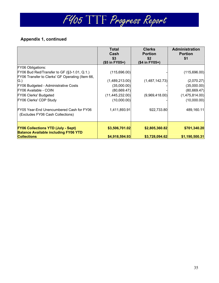|                                                                                                                   | <b>Total</b><br>Cash<br>\$3<br>(\$5 in FY05+) | <b>Clerks</b><br><b>Portion</b><br>\$2<br>(\$4 in FY05+) | Administration<br><b>Portion</b><br>\$1 |
|-------------------------------------------------------------------------------------------------------------------|-----------------------------------------------|----------------------------------------------------------|-----------------------------------------|
| <b>FY06 Obligations:</b><br>FY06 Bud Red/Transfer to GF (§3-1.01, Q.1.)                                           | (115,696.00)                                  |                                                          | (115,696.00)                            |
| FY06 Transfer to Clerks' GF Operating (Item 66,<br>$\mathsf{G}$ .)<br><b>FY06 Budgeted - Administrative Costs</b> | (1,489,213.00)<br>(35,000.00)                 | (1,487,142.73)                                           | (2,070.27)<br>(35,000.00)               |
| FY06 Available - COIN<br><b>FY06 Clerks' Budgeted</b>                                                             | (80, 669.47)<br>(11, 445, 232.00)             | (9,969,418.00)                                           | (80, 669.47)<br>(1,475,814.00)          |
| FY06 Clerks' CDP Study                                                                                            | (10,000.00)                                   |                                                          | (10,000.00)                             |
| FY05 Year-End Unencumbered Cash for FY06<br>(Excludes FY06 Cash Collections)                                      | 1,411,893.91                                  | 922,733.80                                               | 489,160.11                              |
| <b>FY06 Collections YTD (July - Sept)</b><br><b>Balance Available including FY06 YTD</b><br><b>Collections</b>    | \$3,506,701.02<br>\$4,918,594.93              | \$2,805,360.82<br>\$3,728,094.62                         | \$701,340.20<br>\$1,190,500.31          |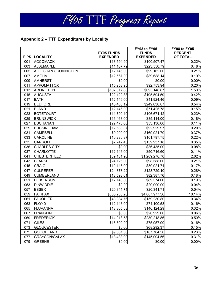

## **Appendix 2 – TTF Expenditures by Locality**

|     |                      |                                      | FY98 to FY05                    | FY98 to FY05               |
|-----|----------------------|--------------------------------------|---------------------------------|----------------------------|
|     | <b>FIPS LOCALITY</b> | <b>FY05 FUNDS</b><br><b>EXPENDED</b> | <b>FUNDS</b><br><b>EXPENDED</b> | <b>PERCENT</b><br>OF TOTAL |
| 001 | <b>ACCOMACK</b>      | \$13,594.90                          | \$100,507.47                    | 0.22%                      |
| 003 | <b>ALBEMARLE</b>     | \$11,107.79                          | \$223,550.79                    | 0.48%                      |
| 005 | ALLEGHANY/COVINGTON  | \$12,146.00                          | \$99,162.00                     | 0.21%                      |
| 007 | <b>AMELIA</b>        | \$12,567.00                          | \$89,688.14                     | 0.19%                      |
| 009 | <b>AMHERST</b>       | \$0.00                               | \$0.00                          | 0.00%                      |
| 011 | <b>APPOMATTOX</b>    | \$15,258.95                          | \$92,753.94                     | 0.20%                      |
| 013 | <b>ARLINGTON</b>     | \$107,817.88                         | \$695,148.87                    | 1.50%                      |
| 015 | <b>AUGUSTA</b>       | \$22,122.83                          | \$195,504.59                    | 0.42%                      |
| 017 | <b>BATH</b>          | \$12,146.00                          | \$41,924.46                     | 0.09%                      |
| 019 | <b>BEDFORD</b>       | \$45,466.12                          | \$249,038.87                    | 0.54%                      |
| 021 | <b>BLAND</b>         | \$12,146.00                          | \$71,425.78                     | 0.15%                      |
| 023 | <b>BOTETOURT</b>     | \$11,790.10                          | \$106,671.42                    | 0.23%                      |
| 025 | <b>BRUNSWICK</b>     | \$16,468.00                          | \$85,114.00                     | 0.18%                      |
| 027 | <b>BUCHANAN</b>      | \$22,473.60                          | \$53,136.60                     | 0.11%                      |
| 029 | <b>BUCKINGHAM</b>    | \$12,688.37                          | \$92,929.97                     | 0.20%                      |
| 031 | <b>CAMPBELL</b>      | \$9,200.00                           | \$169,924.70                    | 0.37%                      |
| 033 | <b>CAROLINE</b>      | \$10,230.37                          | \$101,797.75                    | 0.22%                      |
| 035 | <b>CARROLL</b>       | \$7,742.43                           | \$159,937.18                    | 0.35%                      |
| 036 | <b>CHARLES CITY</b>  | \$0.00                               | \$36,435.00                     | 0.08%                      |
| 037 | <b>CHARLOTTE</b>     | \$12,146.00                          | \$50,716.60                     | 0.11%                      |
| 041 | <b>CHESTERFIELD</b>  | \$39,131.96                          | \$1,209,276.70                  | 2.62%                      |
| 043 | <b>CLARKE</b>        | \$24,126.00                          | \$98,588.00                     | 0.21%                      |
| 045 | <b>CRAIG</b>         | \$12,146.00                          | \$80,921.74                     | 0.17%                      |
| 047 | <b>CULPEPER</b>      | \$24,378.22                          | \$128,729.10                    | 0.28%                      |
| 049 | <b>CUMBERLAND</b>    | \$13,593.01                          | \$82,387.76                     | 0.18%                      |
| 051 | <b>DICKENSON</b>     | \$12,146.00                          | \$89,574.00                     | 0.19%                      |
| 053 | <b>DINWIDDIE</b>     | \$0.00                               | \$20,000.00                     | 0.04%                      |
| 057 | <b>ESSEX</b>         | \$20,341.71                          | \$20,341.71                     | 0.04%                      |
| 059 | <b>FAIRFAX</b>       | \$885,233.28                         | \$4,687,977.36                  | 10.14%                     |
| 061 | <b>FAUQUIER</b>      | \$43,984.76                          | \$159,230.80                    | 0.34%                      |
| 063 | <b>FLOYD</b>         | \$12,146.00                          | \$74,100.58                     | 0.16%                      |
| 065 | <b>FLUVANNA</b>      | \$13,305.68                          | \$146,124.29                    | 0.32%                      |
| 067 | <b>FRANKLIN</b>      | \$0.00                               | \$26,929.00                     | 0.06%                      |
| 069 | <b>FREDERICK</b>     | \$14,018.58                          | \$230,218.86                    | 0.50%                      |
| 071 | <b>GILES</b>         | \$13,600.00                          | \$75,957.00                     | 0.16%                      |
| 073 | <b>GLOUCESTER</b>    | \$0.00                               | \$68,292.37                     | 0.15%                      |
| 075 | <b>GOOCHLAND</b>     | \$9,061.36                           | \$107,704.50                    | 0.23%                      |
| 077 | <b>GRAYSON/GALAX</b> | \$18,488.00                          | \$145,004.56                    | 0.31%                      |
| 079 | <b>GREENE</b>        | \$0.00                               | \$0.00                          | 0.00%                      |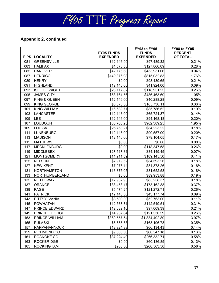|             |                         |                                      | FY98 to FY05                    | FY98 to FY05               |
|-------------|-------------------------|--------------------------------------|---------------------------------|----------------------------|
| <b>FIPS</b> | <b>LOCALITY</b>         | <b>FY05 FUNDS</b><br><b>EXPENDED</b> | <b>FUNDS</b><br><b>EXPENDED</b> | <b>PERCENT</b><br>OF TOTAL |
| 081         | <b>GREENSVILLE</b>      | \$12,146.00                          | \$97,489.32                     | 0.21%                      |
| 083         | <b>HALIFAX</b>          | \$1,578.58                           | \$127,866.89                    | 0.28%                      |
| 085         | <b>HANOVER</b>          | \$42,176.68                          | \$433,931.06                    | 0.94%                      |
| 087         | <b>HENRICO</b>          | \$149,876.98                         | \$815,032.83                    | 1.76%                      |
| 089         | <b>HENRY</b>            | \$0.00                               | \$98,439.65                     | 0.21%                      |
| 091         | <b>HIGHLAND</b>         | \$12,146.00                          | \$41,924.00                     | 0.09%                      |
| 093         | <b>ISLE OF WIGHT</b>    | \$23,117.82                          | \$118,951.25                    | 0.26%                      |
| 095         | <b>JAMES CITY</b>       | \$68,761.56                          | \$486,463.60                    | 1.05%                      |
| 097         | <b>KING &amp; QUEEN</b> | \$12,146.00                          | \$40,288.28                     | 0.09%                      |
| 099         | <b>KING GEORGE</b>      | \$6,575.00                           | \$165,738.11                    | 0.36%                      |
| 101         | <b>KING WILLIAM</b>     | \$16,589.71                          | \$85,786.52                     | 0.19%                      |
| 103         | LANCASTER               | \$12,146.00                          | \$65,724.87                     | 0.14%                      |
| 105         | LEE                     | \$12,146.00                          | \$94,168.18                     | 0.20%                      |
| 107         | LOUDOUN                 | \$66,766.25                          | \$902,389.25                    | 1.95%                      |
| 109         | LOUISA                  | \$25,758.21                          | \$84,223.22                     | 0.18%                      |
| 111         | LUNENBURG               | \$12,146.00                          | \$90,557.00                     | 0.20%                      |
| 113         | <b>MADISON</b>          | \$12,146.00                          | \$79,104.05                     | 0.17%                      |
| 115         | <b>MATHEWS</b>          | \$0.00                               | \$0.00                          | 0.00%                      |
| 117         | <b>MECKLENBURG</b>      | \$0.00                               | \$118,347.58                    | 0.26%                      |
| 119         | <b>MIDDLESEX</b>        | \$27,517.31                          | \$34,149.45                     | 0.07%                      |
| 121         | <b>MONTGOMERY</b>       | \$11,211.59                          | \$189,145.50                    | 0.41%                      |
| 125         | <b>NELSON</b>           | \$7,919.62                           | \$84,593.26                     | 0.18%                      |
| 127         | <b>NEW KENT</b>         | \$7,078.14                           | \$84,373.26                     | 0.18%                      |
| 131         | NORTHAMPTON             | \$16,375.05                          | \$81,652.58                     | 0.18%                      |
| 133         | NORTHUMBERLAND          | \$0.00                               | \$89,953.88                     | 0.19%                      |
| 135         | NOTTOWAY                | \$12,932.95                          | \$83,258.37                     | 0.18%                      |
| 137         | <b>ORANGE</b>           | \$38,458.17                          | \$173,162.88                    | 0.37%                      |
| 139         | <b>PAGE</b>             | \$5,474.24                           | \$121,272.71                    | 0.26%                      |
| 141         | <b>PATRICK</b>          | \$12,146.00                          | \$43,177.74                     | 0.09%                      |
| 143         | PITTSYLVANIA            | \$8,500.00                           | \$52,763.00                     | 0.11%                      |
| 145         | <b>POWHATAN</b>         | \$12,567.71                          | \$142,549.51                    | 0.31%                      |
| 147         | <b>PRINCE EDWARD</b>    | \$12,082.10                          | \$97,009.39                     | 0.21%                      |
| 149         | <b>PRINCE GEORGE</b>    | \$14,937.64                          | \$121,530.59                    | 0.26%                      |
| 153         | <b>PRINCE WILLIAM</b>   | \$360,557.54                         | \$1,834,402.80                  | 3.97%                      |
| 155         | <b>PULASKI</b>          | \$8,888.35                           | \$163,196.78                    | 0.35%                      |
| 157         | <b>RAPPAHANNOCK</b>     | \$12,924.38                          | \$66,134.43                     | 0.14%                      |
| 159         | RICHMOND CO.            | \$9,808.00                           | \$60,547.18                     | 0.13%                      |
| 161         | ROANOKE CO.             | \$87,224.49                          | \$266,332.71                    | 0.58%                      |
| 163         | <b>ROCKBRIDGE</b>       | \$0.00                               | \$60,136.85                     | 0.13%                      |
| 165         | <b>ROCKINGHAM</b>       | \$208.00                             | \$260,563.50                    | 0.56%                      |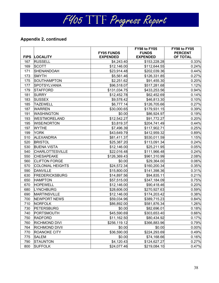|     |                         |                                      | FY98 to FY05                    | FY98 to FY05               |
|-----|-------------------------|--------------------------------------|---------------------------------|----------------------------|
|     | FIPS LOCALITY           | <b>FY05 FUNDS</b><br><b>EXPENDED</b> | <b>FUNDS</b><br><b>EXPENDED</b> | <b>PERCENT</b><br>OF TOTAL |
| 167 | <b>RUSSELL</b>          | \$4,243.40                           | \$153,228.28                    | 0.33%                      |
| 169 | <b>SCOTT</b>            | \$12,146.00                          | \$112,644.55                    | 0.24%                      |
| 171 | SHENANDOAH              | \$23,914.48                          | \$202,039.36                    | 0.44%                      |
| 173 | <b>SMYTH</b>            | \$5,561.46                           | \$126,331.85                    | 0.27%                      |
| 175 | SOUTHAMPTON             | \$2,251.62                           | \$91,455.30                     | 0.20%                      |
| 177 | <b>SPOTSYLVANIA</b>     | \$96,518.07                          | \$517,281.68                    | 1.12%                      |
| 179 | <b>STAFFORD</b>         | \$131,034.75                         | \$433,253.56                    | 0.94%                      |
| 181 | <b>SURRY</b>            | \$12,452.78                          | \$62,452.69                     | 0.14%                      |
| 183 | <b>SUSSEX</b>           | \$9,578.42                           | \$46,813.30                     | 0.10%                      |
| 185 | <b>TAZEWELL</b>         | \$6,777.14                           | \$126,705.66                    | 0.27%                      |
| 187 | <b>WARREN</b>           | \$30,000.65                          | \$179,931.15                    | 0.39%                      |
| 191 | <b>WASHINGTON</b>       | \$0.00                               | \$86,924.97                     | 0.19%                      |
| 193 | <b>WESTMORELAND</b>     | \$12,542.27                          | \$91,772.27                     | 0.20%                      |
| 195 | <b>WISE/NORTON</b>      | \$3,819.37                           | \$204,741.49                    | 0.44%                      |
| 197 | <b>WYTHE</b>            | \$7,496.39                           | \$117,902.71                    | 0.25%                      |
| 199 | <b>YORK</b>             | \$43,649.79                          | \$412,959.32                    | 0.89%                      |
| 510 | <b>ALEXANDRIA</b>       | \$81,411.37                          | \$530,011.59                    | 1.15%                      |
| 520 | <b>BRISTOL</b>          | \$25,387.20                          | \$113,091.34                    | 0.24%                      |
| 530 | <b>BUENA VISTA</b>      | \$12,146.00                          | \$25,211.95                     | 0.05%                      |
| 540 | <b>CHARLOTTESVILLE</b>  | \$22,016.48                          | \$111,966.48                    | 0.24%                      |
| 550 | <b>CHESAPEAKE</b>       | \$126,369.43                         | \$961,310.99                    | 2.08%                      |
| 560 | <b>CLIFTON FORGE</b>    | \$0.00                               | \$29,364.00                     | 0.06%                      |
| 570 | <b>COLONIAL HEIGHTS</b> | \$24,572.34                          | \$160,200.34                    | 0.35%                      |
| 590 | <b>DANVILLE</b>         | \$15,800.00                          | \$141,398.36                    | 0.31%                      |
| 630 | <b>FREDERICKSBURG</b>   | \$14,897.56                          | \$94,835.11                     | 0.21%                      |
| 650 | <b>HAMPTON</b>          | \$57,515.00                          | \$347,184.09                    | 0.75%                      |
| 670 | <b>HOPEWELL</b>         | \$12,146.00                          | \$90,418.46                     | 0.20%                      |
| 680 | <b>LYNCHBURG</b>        | \$28,606.00                          | \$270,927.63                    | 0.59%                      |
| 690 | <b>MARTINSVILLE</b>     | \$12,146.00                          | \$174,203.42                    | 0.38%                      |
| 700 | <b>NEWPORT NEWS</b>     | \$59,034.96                          | \$389,715.23                    | 0.84%                      |
| 710 | <b>NORFOLK</b>          | \$86,892.00                          | \$581,876.34                    | 1.26%                      |
| 730 | <b>PETERSBURG</b>       | \$0.00                               | \$82,696.01                     | 0.18%                      |
| 740 | PORTSMOUTH              | \$45,590.69                          | \$303,653.40                    | 0.66%                      |
| 750 | <b>RADFORD</b>          | \$11,162.50                          | \$80,434.92                     | 0.17%                      |
| 760 | <b>RICHMOND DIVI</b>    | \$256,119.12                         | \$366,883.96                    | 0.79%                      |
| 764 | <b>RICHMOND DIVII</b>   | \$0.00                               | \$0.00                          | 0.00%                      |
| 770 | <b>ROANOKE CITY</b>     | \$36,590.00                          | \$224,293.69                    | 0.49%                      |
| 775 | <b>SALEM</b>            | \$0.00                               | \$74,168.66                     | 0.16%                      |
| 790 | STAUNTON                | \$4,120.43                           | \$124,627.27                    | 0.27%                      |
| 800 | <b>SUFFOLK</b>          | \$24,077.46                          | \$219,084.10                    | 0.47%                      |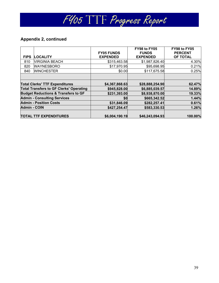

|                     |                                                | <b>FY05 FUNDS</b> | FY98 to FY05<br><b>FUNDS</b> | FY98 to FY05<br><b>PERCENT</b> |
|---------------------|------------------------------------------------|-------------------|------------------------------|--------------------------------|
| <b>FIPS</b>         | <b>LOCALITY</b>                                | <b>EXPENDED</b>   | <b>EXPENDED</b>              | OF TOTAL                       |
| 810                 | VIRGINIA BEACH                                 | \$315,463.58      | \$1,987,826.40               | 4.30%                          |
| 820                 | <b>WAYNESBORO</b>                              | \$17,970.95       | \$95,698.95                  | 0.21%                          |
| 840                 | <b>WINCHESTER</b>                              | \$0.00            | \$117,675.58                 | 0.25%                          |
|                     |                                                |                   |                              |                                |
|                     | <b>Total Clerks' TTF Expenditures</b>          | \$4,367,868.63    | \$28,888,254.90              | 62.47%                         |
|                     | <b>Total Transfers to GF Clerks' Operating</b> | \$945,828.00      | \$6,885,039.57               | 14.89%                         |
|                     | <b>Budget Reductions &amp; Transfers to GF</b> | \$231,393.00      | \$8,938,870.00               | 19.33%                         |
|                     | <b>Admin - Consulting Services</b>             | \$0               | \$665,342.52                 | 1.44%                          |
|                     | <b>Admin - Position Costs</b>                  | \$31,846.09       | \$282,257.41                 | 0.61%                          |
| <b>Admin - COIN</b> |                                                | \$427,254.47      | \$583,330.53                 | 1.26%                          |
|                     | <b>TOTAL TTF EXPENDITURES</b>                  | \$6,004,190.19    | \$46,243,094.93              | 100.00%                        |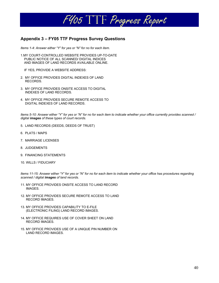

## **Appendix 3 – FY05 TTF Progress Survey Questions**

*Items 1-4: Answer either "Y" for yes or "N" for no for each item.* 

1.MY COURT-CONTROLLED WEBSITE PROVIDES UP-TO-DATE PUBLIC NOTICE OF ALL SCANNED/ DIGITAL INDICES AND IMAGES OF LAND RECORDS AVAILABLE ONLINE.

IF YES, PROVIDE A WEBSITE ADDRESS:

- 2. MY OFFICE PROVIDES DIGITAL INDEXES OF LAND RECORDS.
- 3. MY OFFICE PROVIDES ONSITE ACCESS TO DIGITAL INDEXES OF LAND RECORDS.
- 4. MY OFFICE PROVIDES SECURE REMOTE ACCESS TO DIGITAL INDEXES OF LAND RECORDS.

*Items 5-10: Answer either "Y" for yes or "N" for no for each item to indicate whether your office currently provides scanned / digital images of these types of court records.* 

- 5. LAND RECORDS (DEEDS, DEEDS OF TRUST)
- 6. PLATS / MAPS
- 7. MARRIAGE LICENSES
- 8. JUDGEMENTS
- 9. FINANCING STATEMENTS
- 10. WILLS / FIDUCIARY

*Items 11-15: Answer either "Y" for yes or "N" for no for each item to indicate whether your office has procedures regarding scanned / digital images of land records.* 

- 11. MY OFFICE PROVIDES ONSITE ACCESS TO LAND RECORD IMAGES.
- 12. MY OFFICE PROVIDES SECURE REMOTE ACCESS TO LAND RECORD IMAGES.
- 13. MY OFFICE PROVIDES CAPABILITY TO E-FILE (ELECTRONIC FILING) LAND RECORD IMAGES.
- 14. MY OFFICE REQUIRES USE OF COVER SHEET ON LAND RECORD IMAGES.
- 15. MY OFFICE PROVIDES USE OF A UNIQUE PIN NUMBER ON LAND RECORD IMAGES.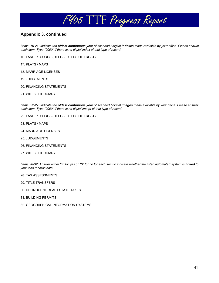

## **Appendix 3, continued**

*Items: 16-21: Indicate the oldest continuous year of scanned / digital indexes made available by your office. Please answer each item. Type "0000" if there is no digital index of that type of record.* 

- 16. LAND RECORDS (DEEDS, DEEDS OF TRUST)
- 17. PLATS / MAPS
- 18. MARRIAGE LICENSES
- 19. JUDGEMENTS
- 20. FINANCING STATEMENTS
- 21. WILLS / FIDUCIARY

*Items: 22-27: Indicate the oldest continuous year of scanned / digital images made available by your office. Please answer each item. Type "0000" if there is no digital image of that type of record.* 

- 22. LAND RECORDS (DEEDS, DEEDS OF TRUST)
- 23. PLATS / MAPS
- 24. MARRIAGE LICENSES
- 25. JUDGEMENTS
- 26. FINANCING STATEMENTS
- 27. WILLS / FIDUCIARY

*Items 28-32: Answer either "Y" for yes or "N" for no for each item to indicate whether the listed automated system is linked to your land records data.* 

- 28. TAX ASSESSMENTS
- 29. TITLE TRANSFERS
- 30. DELINQUENT REAL ESTATE TAXES
- 31. BUILDING PERMITS
- 32. GEOGRAPHICAL INFORMATION SYSTEMS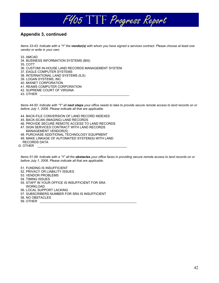

## **Appendix 3, continued**

*Items 33-43: Indicate with a "Y" the vendor(s) with whom you have signed a services contract. Please choose at least one vendor or write in your own.* 

33. AMCAD

- 34. BUSINESS INFORMATION SYSTEMS (BIS)
- 35. COTT
- 36. CUSTOM/ IN-HOUSE LAND RECORDS MANAGEMENT SYSTEM
- 37. EAGLE COMPUTER SYSTEMS
- 38. INTERNATIONAL LAND SYSTEMS (ILS)
- 39. LOGAN SYSTEMS, INC.
- 40. MIXNET CORPORATION
- 41. REAMS COMPUTER CORPORATION
- 42. SUPREME COURT OF VIRGINA

43. OTHER \_\_\_\_\_\_\_\_\_\_\_\_\_\_\_\_\_\_\_\_\_\_\_\_\_\_\_\_\_\_\_\_\_\_\_\_\_\_\_\_\_\_\_\_\_\_\_\_\_\_

*Items 44-50: Indicate with "Y" all next steps your office needs to take to provide secure remote access to land records on or before July 1, 2006. Please indicate all that are applicable.* 

- 44. BACK-FILE CONVERSION OF LAND RECORD INDEXES
- 45. BACK-SCAN (IMAGING) LAND RECORDS
- 46. PROVIDE SECURE REMOTE ACCESS TO LAND RECORDS
- 47. SIGN SERVICES CONTRACT WITH LAND RECORDS
- MANAGEMENT VENDOR(S)
- 48. PURCHASE ADDITIONAL TECHNOLOGY EQUIPMENT
- 49. MAKE LINKAGE OF AUTOMATED SYSTEM(S) WITH LAND
- RECORDS DATA  $50.$  OTHER

*Items 51-59: Indicate with a "Y" all the obstacles your office faces in providing secure remote access to land records on or before July 1, 2006. Please indicate all that are applicable.* 

51. FUNDING IS INSUFFICIENT

- 52. PRIVACY OR LIABILITY ISSUES
- 53. VENDOR PROBLEMS
- 54. TIMING ISSUES
- 55. STAFF IN YOUR OFFICE IS INSUFFICIENT FOR SRA
- WORKLOAD
- 56. LOCAL SUPPORT LACKING
- 57. SUBSCRIBERS NUMBER FOR SRA IS INSUFFICIENT
- 58. NO OBSTACLES
- 59. OTHER \_\_\_\_\_\_\_\_\_\_\_\_\_\_\_\_\_\_\_\_\_\_\_\_\_\_\_\_\_\_\_\_\_\_\_\_\_\_\_\_\_\_\_\_\_\_\_\_\_\_\_\_\_\_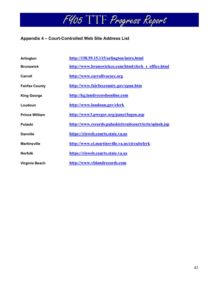## **Appendix 4 – Court-Controlled Web Site Address List**

| Arlington             | http://158.59.15.115/arlington/intro.html               |
|-----------------------|---------------------------------------------------------|
| <b>Brunswick</b>      | http://www.brunswickco.com/html/clerk s office.html     |
| Carroll               | http://www.carrollvacocc.org                            |
| <b>Fairfax County</b> | http://www.fairfaxcounty.gov/cpan.htm                   |
| <b>King George</b>    | http://kg.landrecordsonline.com                         |
| Loudoun               | http://www.loudoun.gov/clerk                            |
| <b>Prince William</b> | http://www3.pwcgov.org/panet/logon.asp                  |
| Pulaski               | http://www.records.pulaskicircuitcourt/icris/splash.jsp |
| <b>Danville</b>       | https://risweb.courts.state.va.us                       |
| <b>Martinsville</b>   | http://www.ci.martinsville.va.us/circuitclerk           |
| <b>Norfolk</b>        | https://risweb.courts.state.va.us                       |
| Virginia Beach        | http://www.vblandrecords.com                            |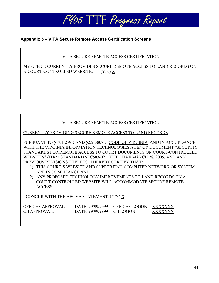

## **Appendix 5 – VITA Secure Remote Access Certification Screens**

## VITA SECURE REMOTE ACCESS CERTIFICATION

MY OFFICE CURRENTLY PROVIDES SECURE REMOTE ACCESS TO LAND RECORDS ON A COURT-CONTROLLED WEBSITE. (Y/N) X

## VITA SECURE REMOTE ACCESS CERTIFICATION

CURRENTLY PROVIDING SECURE REMOTE ACCESS TO LAND RECORDS

PURSUANT TO §17.1-279D AND §2.2-3808.2, CODE OF VIRGINIA, AND IN ACCORDANCE WITH THE VIRGINIA INFORMATION TECHNOLOGIES AGENCY DOCUMENT "SECURITY STANDARDS FOR REMOTE ACCESS TO COURT DOCUMENTS ON COURT-CONTROLLED WEBSITES" (ITRM STANDARD SEC503-02), EFFECTIVE MARCH 28, 2005, AND ANY PREVIOUS REVISIONS THERETO, I HEREBY CERTIFY THAT:

- 1) THIS COURT'S WEBSITE AND SUPPORTING COMPUTER NETWORK OR SYSTEM ARE IN COMPLIANCE AND
- 2) ANY PROPOSED TECHNOLOGY IMPROVEMENTS TO LAND RECORDS ON A COURT-CONTROLLED WEBSITE WILL ACCOMMODATE SECURE REMOTE ACCESS.

I CONCUR WITH THE ABOVE STATEMENT. (Y/N) X

| OFFICER APPROVAL:   |                            | DATE: 99/99/9999 OFFICER LOGON: XXXXXXX |         |
|---------------------|----------------------------|-----------------------------------------|---------|
| <b>CB APPROVAL:</b> | DATE: 99/99/9999 CB LOGON: |                                         | XXXXXXX |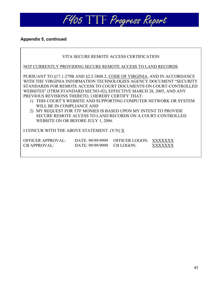

## **Appendix 5, continued**

Г

| VITA SECURE REMOTE ACCESS CERTIFICATION                                                                                                                                                                                                                                                                                                                                                                                                                                                                                                                                                                                            |  |  |  |  |  |  |  |  |  |  |  |  |
|------------------------------------------------------------------------------------------------------------------------------------------------------------------------------------------------------------------------------------------------------------------------------------------------------------------------------------------------------------------------------------------------------------------------------------------------------------------------------------------------------------------------------------------------------------------------------------------------------------------------------------|--|--|--|--|--|--|--|--|--|--|--|--|
| NOT CURRENTLY PROVIDING SECURE REMOTE ACCESS TO LAND RECORDS                                                                                                                                                                                                                                                                                                                                                                                                                                                                                                                                                                       |  |  |  |  |  |  |  |  |  |  |  |  |
| PURSUANT TO §17.1-279B AND §2.2-3808.2, CODE OF VIRGINIA, AND IN ACCORDANCE<br>WITH THE VIRGINIA INFORMATION TECHNOLOGIES AGENCY DOCUMENT "SECURITY<br>STANDARDS FOR REMOTE ACCESS TO COURT DOCUMENTS ON COURT-CONTROLLED<br>WEBSITES" (ITRM STANDARD SEC503-02), EFFECTIVE MARCH 28, 2005, AND ANY<br>PREVIOUS REVISIONS THERETO, I HEREBY CERTIFY THAT:<br>1) THIS COURT'S WEBSITE AND SUPPORTING COMPUTER NETWORK OR SYSTEM<br>WILL BE IN COMPLIANCE AND<br>2) MY REQUEST FOR TTF MONIES IS BASED UPON MY INTENT TO PROVIDE<br>SECURE REMOTE ACCESS TO LAND RECORDS ON A COURT-CONTROLLED<br>WEBSITE ON OR BEFORE JULY 1, 2006. |  |  |  |  |  |  |  |  |  |  |  |  |
| I CONCUR WITH THE ABOVE STATEMENT. (Y/N) X                                                                                                                                                                                                                                                                                                                                                                                                                                                                                                                                                                                         |  |  |  |  |  |  |  |  |  |  |  |  |
| OFFICER APPROVAL: DATE: 99/99/9999<br>OFFICER LOGON: XXXXXXX<br><b>CB LOGON:</b><br><b>CB APPROVAL:</b><br>DATE: 99/99/9999<br>x x x x x x x                                                                                                                                                                                                                                                                                                                                                                                                                                                                                       |  |  |  |  |  |  |  |  |  |  |  |  |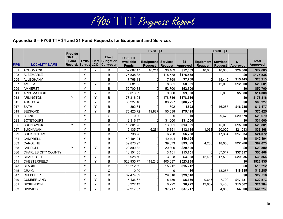## **Appendix 6 – FY06 TTF \$4 and \$1 Fund Requests for Equipment and Services**

|             |                            | <b>Provide</b>        |              |   |                                                                         |                                              | FY06 \$4                    |                                   |                        |                                             |                |                 |                                 |
|-------------|----------------------------|-----------------------|--------------|---|-------------------------------------------------------------------------|----------------------------------------------|-----------------------------|-----------------------------------|------------------------|---------------------------------------------|----------------|-----------------|---------------------------------|
| <b>FIPS</b> | <b>LOCALITY NAME</b>       | <b>SRA to</b><br>Land | <b>FY05</b>  |   | <b>Elect</b><br><b>Elect Budget or</b><br>Records Survey LCC* Carryover | FY06 TTF<br><b>Available</b><br><b>Funds</b> | Equipment<br><b>Request</b> | <b>Services</b><br><b>Request</b> | \$4<br><b>Approved</b> | <b>Equipment Services</b><br><b>Request</b> | <b>Request</b> | \$1<br>Approved | <b>Total</b><br><b>Approved</b> |
| 001         | <b>ACCOMACK</b>            |                       | Υ            | Y | B                                                                       | 52,687.17                                    | 16,214                      | 36,469                            | \$52,683               | 10,000                                      | 10,000         | \$20,000        | \$72,683                        |
| 003         | <b>ALBEMARLE</b>           |                       | Y            |   | $\sf B$                                                                 | 175,538.38                                   | 0                           | 175,538                           | \$175,538              |                                             |                | \$0             | \$175,538                       |
| 005         | ALLEGHANY                  |                       | Y            |   | B                                                                       | 7,768.11                                     | 0                           | 7,768                             | \$7,768                | 0                                           | 15,445         | \$15,445        | \$23,213                        |
| 007         | <b>AMELIA</b>              |                       | Y            | Y | B                                                                       | 8,681.95                                     | $\Omega$                    | 8,681                             | \$8,681                | $\Omega$                                    | 12,000         | \$12,000        | \$20,681                        |
| 009         | <b>AMHERST</b>             |                       | Y            |   | B                                                                       | 52,700.88                                    | 0                           | 52,700                            | \$52,700               |                                             |                | \$0             | \$52,700                        |
| 011         | APPOMATTOX                 |                       | Y            | Υ | B                                                                       | 9,013.89                                     | 0                           | 9,000                             | \$9,000                | ∩                                           | 5.000          | \$5,000         | \$14,000                        |
| 013         | ARLINGTON                  | Y                     | Y            | Y | B                                                                       | 178,316.94                                   | 0                           | 178,316                           | \$178,316              |                                             |                | \$0             | \$178,316                       |
| 015         | <b>AUGUSTA</b>             |                       | Y            | Y | B                                                                       | 86,227.40                                    | 0                           | 86,227                            | \$86,227               |                                             |                | \$0             | \$86,227                        |
| 017         | <b>BATH</b>                |                       | Y            | Y | B                                                                       | 892.84                                       | $\Omega$                    | 892                               | \$892                  | $\Omega$                                    | 16,285         | \$16,285        | \$17,177                        |
| 019         | <b>BEDFORD</b>             |                       | Y            | Y | B                                                                       | 75,425.72                                    | 19,887                      | 55,538                            | \$75,425               |                                             |                | \$0             | \$75,425                        |
| 021         | <b>BLAND</b>               |                       | Y            |   | C                                                                       | 0.00                                         | 0                           |                                   | \$0                    | $\Omega$                                    | 29.679         | \$29,679        | \$29,679                        |
| 023         | <b>BOTETOURT</b>           |                       | Y            |   | B                                                                       | 43,316.17                                    | $\Omega$                    | 31,000                            | \$31,000               |                                             |                | \$0             | \$31,000                        |
| 025         | <b>BRUNSWICK</b>           | Y                     | Y            |   | $\mathsf B$                                                             | 13,801.25                                    | 0                           | 13,801                            | \$13,801               | $\Omega$                                    | 15,000         | \$15,000        | \$28,801                        |
| 027         | <b>BUCHANAN</b>            |                       | Y            |   | B                                                                       | 12,135.57                                    | 6,284                       | 5,851                             | \$12,135               | 1,033                                       | 20,000         | \$21,033        | \$33,168                        |
| 029         | <b>BUCKINGHAM</b>          |                       | Y            |   | B                                                                       | 6,738.28                                     | $\Omega$                    | 6,738                             | \$6,738                | $\Omega$                                    | 17,334         | \$17,334        | \$24,072                        |
| 031         | <b>CAMPBELL</b>            |                       | $\checkmark$ |   | $\mathsf B$                                                             | 49,194.24                                    | $\mathbf 0$                 | 49,194                            | \$49,194               |                                             |                | \$0             | \$49,194                        |
| 033         | <b>CAROLINE</b>            |                       | Y            |   | B                                                                       | 39,873.97                                    | $\Omega$                    | 39,873                            | \$39,873               | 4,200                                       | 18.000         | \$22,200        | \$62,073                        |
| 035         | CARROLL                    | Y                     | Y            | Y | B                                                                       | 20,890.82                                    | $\Omega$                    | 20,890                            | \$20,890               |                                             |                | \$0             | \$20,890                        |
| 036         | <b>CHARLES CITY COUNTY</b> |                       | Y            |   | B                                                                       | 13,151.55                                    | $\Omega$                    | 13,151                            | \$13,151               | $\Omega$                                    | 37,317         | \$37,317        | \$50,468                        |
| 037         | <b>CHARLOTTE</b>           |                       | Y            | Y | B                                                                       | 3,928.50                                     | $\Omega$                    | 3,928                             | \$3,928                | 12,436                                      | 17,500         | \$29,936        | \$33,864                        |
| 041         | <b>CHESTERFIELD</b>        |                       | Y            | Y | B                                                                       | 523,935.77                                   | 118,248                     | 405,687                           | \$523,935              |                                             |                | \$0             | \$523,935                       |
| 043         | <b>CLARKE</b>              |                       | Y            |   | B                                                                       | 15,212.59                                    | $\Omega$                    | 15,212                            | \$15,212               |                                             |                | \$0             | \$15,212                        |
| 045         | <b>CRAIG</b>               |                       | Y            |   | C                                                                       | 0.00                                         | $\Omega$                    |                                   | \$0                    | $\Omega$                                    | 18,285         | \$18,285        | \$18,285                        |
| 047         | <b>CULPEPER</b>            |                       | Y            | Y | B                                                                       | 62,474.32                                    | $\Omega$                    | 29,516                            | \$29,516               |                                             |                | \$0             | \$29,516                        |
| 049         | <b>CUMBERLAND</b>          |                       | Y            | Y | B                                                                       | 5,136.67                                     | $\Omega$                    | 5,136                             | \$5,136                | 9,647                                       | 7,790          | \$17,437        | \$22,573                        |
| 051         | <b>DICKENSON</b>           |                       | Y            | Y | $\sf B$                                                                 | 6,222.13                                     | $\overline{0}$              | 6,222                             | \$6,222                | 12,662                                      | 2,400          | \$15,062        | \$21,284                        |
| 053         | <b>DINWIDDIE</b>           |                       | Y            | Y | B                                                                       | 37,217.07                                    | 0                           | 37,217                            | \$37,217               | $\Omega$                                    | 4,000          | \$4,000         | \$41,217                        |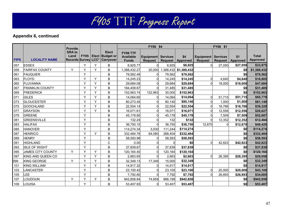|             |                          | <b>Provide</b>        |   |   |                                                                              |                                              | FY06 \$4             |                 |                           |                             |                            |                        |                                 |
|-------------|--------------------------|-----------------------|---|---|------------------------------------------------------------------------------|----------------------------------------------|----------------------|-----------------|---------------------------|-----------------------------|----------------------------|------------------------|---------------------------------|
| <b>FIPS</b> | <b>LOCALITY NAME</b>     | <b>SRA to</b><br>Land |   |   | <b>Elect</b><br><b>FY05 Elect Budget or</b><br>Records Survey LCC* Carryover | FY06 TTF<br><b>Available</b><br><b>Funds</b> | Equipment<br>Request | <b>Services</b> | \$4<br>Request   Approved | Equipment<br><b>Request</b> | <b>Services</b><br>Request | \$1<br><b>Approved</b> | <b>Total</b><br><b>Approved</b> |
| 057         | <b>ESSEX</b>             |                       | Y | Y | B                                                                            | 6,925.77                                     | $\Omega$             | 6,925           | \$6,925                   |                             | 27,050                     | \$27,050               | \$33,975                        |
| 059         | <b>FAIRFAX COUNTY</b>    | Y                     | Y | Y | B                                                                            | 1,388,432.27                                 | 20,000               | 1,368,432       | \$1,388,432               |                             |                            | \$0                    | \$1,388,432                     |
| 061         | <b>FAUQUIER</b>          |                       | Y |   | $\sf B$                                                                      | 79,562.49                                    | 0                    | 79,562          | \$79,562                  |                             |                            | \$0                    | \$79,562                        |
| 063         | <b>FLOYD</b>             |                       | Y | Υ | B                                                                            | 14.245.23                                    | $\Omega$             | 14.245          | \$14,245                  |                             | 4.640                      | \$4,640                | \$18,885                        |
| 065         | <b>FLUVANNA</b>          |                       | Y | Y | B                                                                            | 29,684.08                                    | $\Omega$             | 29,684          | \$29,684                  | $\Omega$                    | 18,000                     | \$18,000               | \$47,684                        |
| 067         | <b>FRANKLIN COUNTY</b>   |                       | Y | Y | B                                                                            | 184,409.67                                   | $\Omega$             | 31,485          | \$31,485                  |                             |                            | \$0                    | \$31,485                        |
| 069         | <b>FREDERICK</b>         |                       | Y | Y | $\sf B$                                                                      | 152,963.74                                   | 122,963              | 30,000          | \$152,963                 |                             |                            | \$0                    | \$152,963                       |
| 071         | <b>GILES</b>             |                       | Y | Y | B                                                                            | 14,064.60                                    | $\Omega$             | 14,064          | \$14,064                  | $\Omega$                    | 51,715                     | \$51,715               | \$65,779                        |
| 073         | <b>GLOUCESTER</b>        |                       | Y | Y | B                                                                            | 80,273.45                                    | $\Omega$             | 80.140          | \$80,140                  |                             | 1.000                      | \$1,000                | \$81,140                        |
| 075         | <b>GOOCHLAND</b>         |                       | Y | Y | B                                                                            | 22,554.14                                    | $\Omega$             | 22,554          | \$22,554                  |                             | 16,766                     | \$16,766               | \$39,320                        |
| 077         | GRAYSON                  |                       | Y | Y | B                                                                            | 16,071.61                                    | $\mathbf 0$          | 16,071          | \$16,071                  |                             | 12,556                     | \$12,556               | \$28,627                        |
| 079         | <b>GREENE</b>            |                       | Y |   | B                                                                            | 45,178.80                                    | $\Omega$             | 45,178          | \$45,178                  |                             | 7,509                      | \$7,509                | \$52,687                        |
| 081         | <b>GREENSVILLE</b>       |                       | Y |   | $\mathsf B$                                                                  | 132.24                                       | $\Omega$             | 132             | \$132                     |                             | 12,352                     | \$12,352               | \$12,484                        |
| 083         | <b>HALIFAX</b>           |                       | Y |   | B                                                                            | 36,750.10                                    | $\Omega$             | 36,750          | \$36,750                  | 12,670                      | 0                          | \$12,670               | \$49,420                        |
| 085         | <b>HANOVER</b>           |                       | Y |   | B                                                                            | 114,274.34                                   | 3,030                | 111,244         | \$114,274                 |                             |                            | \$0                    | \$114,274                       |
| 087         | <b>HENRICO</b>           |                       | Y | Y | $\sf B$                                                                      | 332,484.78                                   | 64,080               | 268,404         | \$332,484                 |                             |                            | \$0                    | \$332,484                       |
| 089         | <b>HENRY</b>             |                       | Y |   | B                                                                            | 58,593.98                                    | $\Omega$             | 58,593          | \$58,593                  |                             |                            | \$0                    | \$58,593                        |
| 091         | <b>HIGHLAND</b>          |                       | Y |   | C                                                                            | 0.00                                         | $\Omega$             |                 | \$0                       | $\Omega$                    | 42,823                     | \$42,823               | \$42,823                        |
| 093         | <b>ISLE OF WIGHT</b>     |                       | Y |   | $\sf B$                                                                      | 37,839.67                                    | $\Omega$             | 37,839          | \$37,839                  |                             |                            | \$0                    | \$37,839                        |
| 095         | <b>JAMES CITY COUNTY</b> | Y                     | Y | Y | B                                                                            | 120,164.40                                   | $\mathbf 0$          | 120,164         | \$120,164                 |                             |                            | \$0                    | \$120,164                       |
| 097         | KING AND QUEEN CO        |                       | Y | Y | B                                                                            | 2,663.65                                     | $\Omega$             | 2,663           | \$2,663                   | $\Omega$                    | 26,395                     | \$26,395               | \$29,058                        |
| 099         | KING GEORGE              | Y                     | Y | Y | B                                                                            | 32,349.13                                    | 17,349               | 15.000          | \$32,349                  |                             |                            | \$0                    | \$32,349                        |
| 101         | <b>KING WILLIAM</b>      |                       | Y | Y | $\sf B$                                                                      | 14,917.32                                    | $\Omega$             | 14,917          | \$14,917                  |                             |                            | \$0                    | \$14,917                        |
| 103         | <b>ANCASTER</b>          |                       | Y |   | B                                                                            | 23,100.42                                    | $\Omega$             | 23,100          | \$23,100                  | $\Omega$                    | 20,000                     | \$20,000               | \$43,100                        |
| 105         | <b>EE</b>                |                       | Y |   | B                                                                            | 7,792.60                                     | $\Omega$             | 7,792           | \$7,792                   |                             | 26,893                     | \$26,893               | \$34,685                        |
| 107         | <b>OUDOUN</b>            | Y                     | Y | Y | B                                                                            | 942,858.84                                   | 74,659               | 868,199         | \$942,858                 |                             |                            | \$0                    | \$942,858                       |
| 109         | <b>OUISA</b>             |                       | Y |   | B                                                                            | 53,407.93                                    | $\Omega$             | 53,407          | \$53,407                  |                             |                            | \$0                    | \$53,407                        |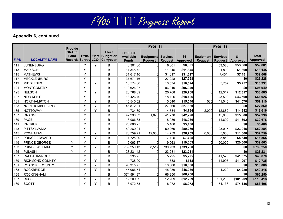|             |                       | <b>Provide</b>        |   |   |                                                                              |                                              | FY06 \$4                           |                 |                           | FY06 \$1                    |                            |                        |                                 |
|-------------|-----------------------|-----------------------|---|---|------------------------------------------------------------------------------|----------------------------------------------|------------------------------------|-----------------|---------------------------|-----------------------------|----------------------------|------------------------|---------------------------------|
| <b>FIPS</b> | <b>LOCALITY NAME</b>  | <b>SRA to</b><br>Land |   |   | <b>Elect</b><br><b>FY05 Elect Budget or</b><br>Records Survey LCC* Carryover | FY06 TTF<br><b>Available</b><br><b>Funds</b> | <b>Equipment</b><br><b>Request</b> | <b>Services</b> | \$4<br>Request   Approved | Equipment<br><b>Request</b> | <b>Services</b><br>Request | \$1<br><b>Approved</b> | <b>Total</b><br><b>Approved</b> |
| 111         | <b>UNENBURG</b>       |                       | Y | Y | B                                                                            | 6,301.60                                     | $\Omega$                           | 6,301           | \$6,301                   |                             | 53,580                     | \$53,580               | \$59,881                        |
| 113         | <b>MADISON</b>        |                       | Y |   | B                                                                            | 11,345.72                                    | $\Omega$                           | 11,345          | \$11,345                  |                             | 1,800                      | \$1,800                | \$13,145                        |
| 115         | <b>MATHEWS</b>        |                       | Y |   | B                                                                            | 31,617.16                                    | $\overline{0}$                     | 31,617          | \$31,617                  |                             | 7,451                      | \$7,451                | \$39,068                        |
| 117         | <b>MECKLENBURG</b>    |                       | Y |   | B                                                                            | 37,671.16                                    | $\Omega$                           | 27,228          | \$27,228                  |                             |                            | \$0                    | \$27,228                        |
| 119         | <b>MIDDLESEX</b>      |                       | Y | Y | B                                                                            | 10,574.86                                    | $\Omega$                           | 10,574          | \$10,574                  | ∩                           | 5,757                      | \$5,757                | \$16,331                        |
| 121         | <b>MONTGOMERY</b>     |                       | Y |   | B                                                                            | 110,626.97                                   | $\overline{0}$                     | 96,949          | \$96,949                  |                             |                            | \$0                    | \$96,949                        |
| 125         | <b>NELSON</b>         |                       | Y | Y | B                                                                            | 20,768.09                                    | $\Omega$                           | 20,768          | \$20,768                  | $\Omega$                    | 12,317                     | \$12,317               | \$33,085                        |
| 127         | <b>NEW KENT</b>       |                       | Y |   | B                                                                            | 18,426.40                                    | $\Omega$                           | 18,426          | \$18,426                  | $\Omega$                    | 43,500                     | \$43,500               | \$61,926                        |
| 131         | <b>NORTHAMPTON</b>    |                       | Y | Y | B                                                                            | 15,540.52                                    | $\overline{0}$                     | 15,540          | \$15,540                  | 525                         | 41,045                     | \$41,570               | \$57,110                        |
| 133         | <b>NORTHUMBERLAND</b> |                       | Y | Y | B                                                                            | 45,872.91                                    | $\Omega$                           | 27,860          | \$27,860                  |                             |                            | \$0                    | \$27,860                        |
| 135         | <b>NOTTOWAY</b>       |                       | Y | Y | B                                                                            | 4,734.89                                     | $\Omega$                           | 4,734           | \$4,734                   | 2,000                       | 12,882                     | \$14,882               | \$19,616                        |
| 137         | <b>ORANGE</b>         |                       | Y |   | B                                                                            | 42,298.63                                    | 1,020                              | 41,278          | \$42,298                  | $\Omega$                    | 15,000                     | \$15,000               | \$57,298                        |
| 139         | <b>PAGE</b>           |                       | Y |   | B                                                                            | 18,986.63                                    | $\Omega$                           | 18,986          | \$18,986                  | $\Omega$                    | 11,692                     | \$11,692               | \$30,678                        |
| 141         | <b>PATRICK</b>        |                       | Y |   | B                                                                            | 20,866.25                                    | $\Omega$                           | 5,400           | \$5,400                   |                             |                            | \$0                    | \$5,400                         |
| 143         | PITTSYLVANIA          |                       | Y |   | B                                                                            | 59,269.91                                    | $\Omega$                           | 59,269          | \$59,269                  |                             | 23,015                     | \$23,015               | \$82,284                        |
| 145         | <b>POWHATAN</b>       |                       | Y | Y | B                                                                            | 26,759.71                                    | 12,000                             | 14,759          | \$26,759                  | 6,000                       | 5,000                      | \$11,000               | \$37,759                        |
| 147         | PRINCE EDWARD         |                       | Y | Y | B                                                                            | 7,725.29                                     | $\Omega$                           | 7,725           | \$7,725                   |                             | 8,840                      | \$8,840                | \$16,565                        |
| 149         | PRINCE GEORGE         | Y                     | Y |   | B                                                                            | 19,063.37                                    | $\Omega$                           | 19,063          | \$19,063                  |                             | 20.000                     | \$20,000               | \$39,063                        |
| 153         | PRINCE WILLIAM        | Y                     | Y | Y | B                                                                            | 739,250.13                                   | 8,517                              | 730,733         | \$739,250                 |                             |                            | \$0                    | \$739,250                       |
| 155         | <b>PULASKI</b>        | Y                     | Y |   | B                                                                            | 23,231.42                                    | $\Omega$                           | 23,231          | \$23,231                  |                             |                            | \$0                    | \$23,231                        |
| 157         | <b>RAPPAHANNOCK</b>   |                       | Y |   | B                                                                            | 5,295.25                                     | $\mathbf 0$                        | 5,295           | \$5,295                   | $\Omega$                    | 41.575                     | \$41,575               | \$46,870                        |
| 159         | RICHMOND COUNTY       |                       | Y | Y | B                                                                            | 738.90                                       | $\Omega$                           | 738             | \$738                     | $\Omega$                    | 11,997                     | \$11,997               | \$12,735                        |
| 161         | ROANOKE COUNTY        |                       | Y | Y | B                                                                            | 90,315.75                                    | $\overline{0}$                     | 10,000          | \$10,000                  |                             |                            | \$0                    | \$10,000                        |
| 163         | <b>ROCKBRIDGE</b>     |                       | Y | Y | B                                                                            | 45,086.51                                    | $\Omega$                           | 45,086          | \$45,086                  | $\Omega$                    | 4,229                      | \$4,229                | \$49,315                        |
| 165         | <b>ROCKINGHAM</b>     |                       | Y |   | B                                                                            | 374,591.37                                   | $\Omega$                           | 66,250          | \$66,250                  |                             |                            | \$0                    | \$66,250                        |
| 167         | <b>RUSSELL</b>        |                       | Y | Y | B                                                                            | 12,209.99                                    | $\overline{0}$                     | 12,209          | \$12,209                  | $\mathbf 0$                 | 101,209                    | \$101,209              | \$113,418                       |
| 169         | <b>SCOTT</b>          |                       | Y | Y | B                                                                            | 8,972.73                                     | $\overline{0}$                     | 8,972           | \$8,972                   | $\Omega$                    | 74,136                     | \$74,136               | \$83,108                        |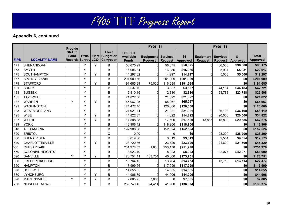|             |                        | <b>Provide</b>        |   |   |                                                                                  |                                              | <b>FY06 \$4</b>             |                 |                           |                               |                            |                        |                                 |
|-------------|------------------------|-----------------------|---|---|----------------------------------------------------------------------------------|----------------------------------------------|-----------------------------|-----------------|---------------------------|-------------------------------|----------------------------|------------------------|---------------------------------|
| <b>FIPS</b> | <b>LOCALITY NAME</b>   | <b>SRA to</b><br>Land |   |   | <b>Elect</b><br><b>FY05   Elect   Budget or</b><br>Records Survey LCC* Carryover | FY06 TTF<br><b>Available</b><br><b>Funds</b> | Equipment<br><b>Request</b> | <b>Services</b> | \$4<br>Request   Approved | Equipment  <br><b>Request</b> | <b>Services</b><br>Request | \$1<br><b>Approved</b> | <b>Total</b><br><b>Approved</b> |
| 171         | <b>SHENANDOAH</b>      |                       | Y | Y | B                                                                                | 56,675.99                                    | 0                           | 56,675          | \$56,675                  |                               | 36,500                     | \$36,500               | \$93,175                        |
| 173         | <b>SMYTH</b>           |                       | Y |   | B                                                                                | 16,086.84                                    | $\Omega$                    | 16,086          | \$16,086                  |                               | 5,931                      | \$5,931                | \$22,017                        |
| 175         | SOUTHAMPTON            |                       | Y | Y | B                                                                                | 14,297.62                                    | $\Omega$                    | 14,297          | \$14,297                  |                               | 5,000                      | \$5,000                | \$19,297                        |
| 177         | SPOTSYLVANIA           |                       | Y |   | B                                                                                | 201,909.56                                   | $\Omega$                    | 201,909         | \$201,909                 |                               |                            | \$0                    | \$201,909                       |
| 179         | <b>STAFFORD</b>        |                       | Y | Y | $\sf B$                                                                          | 191,685.89                                   | 75,000                      | 116,685         | \$191,685                 |                               |                            | \$0                    | \$191,685                       |
| 181         | <b>SURRY</b>           |                       | Y |   | B                                                                                | 3,537.10                                     | 0                           | 3,537           | \$3,537                   | $\Omega$                      | 44,184                     | \$44,184               | \$47,721                        |
| 183         | <b>SUSSEX</b>          |                       | Y |   | B                                                                                | 2,810.16                                     | $\Omega$                    | 2,810           | \$2,810                   |                               | 23,788                     | \$23,788               | \$26,598                        |
| 185         | <b>TAZEWELL</b>        |                       | Y |   | B                                                                                | 21,822.56                                    | 0                           | 21,822          | \$21,822                  |                               |                            | \$0                    | \$21,822                        |
| 187         | <b>WARREN</b>          | Y                     | Y | Y | B                                                                                | 65,967.05                                    | $\Omega$                    | 65.967          | \$65,967                  |                               |                            | \$0                    | \$65,967                        |
| 191         | <b>WASHINGTON</b>      |                       | Y |   | $\sf B$                                                                          | 124,472.40                                   | $\Omega$                    | 120,000         | \$120,000                 |                               |                            | \$0                    | \$120,000                       |
| 193         | WESTMORELAND           |                       | Y |   | B                                                                                | 21,921.44                                    | $\Omega$                    | 21,921          | \$21,921                  |                               | 36,198                     | \$36,198               | \$58,119                        |
| 195         | <b>WISE</b>            |                       | Y | Y | B                                                                                | 14,822.37                                    | $\Omega$                    | 14,822          | \$14,822                  |                               | 20,000                     | \$20,000               | \$34,822                        |
| 197         | <b>WYTHE</b>           |                       | Y | Y | B                                                                                | 17,598.38                                    | $\Omega$                    | 17,590          | \$17,590                  | 13,885                        | 15,800                     | \$29,685               | \$47,275                        |
| 199         | <b>YORK</b>            |                       | Y |   | B                                                                                | 118,906.42                                   | $\Omega$                    | 118,906         | \$118,906                 |                               |                            | \$0                    | \$118,906                       |
| 510         | <b>ALEXANDRIA</b>      |                       | Y |   | B                                                                                | 192,906.38                                   | $\Omega$                    | 152,524         | \$152,524                 |                               |                            | \$0                    | \$152,524                       |
| 520         | <b>BRISTOL</b>         |                       | Y |   | $\mathsf C$                                                                      | 0.00                                         | $\Omega$                    |                 | \$0                       |                               | 28,200                     | \$28,200               | \$28,200                        |
| 530         | <b>BUENA VISTA</b>     |                       | Y |   | $\sf B$                                                                          | 3,019.38                                     | $\Omega$                    | 3,019           | \$3,019                   |                               | 9,554                      | \$9,554                | \$12,573                        |
| 540         | <b>CHARLOTTESVILLE</b> |                       | Y | Y | B                                                                                | 23,720.86                                    | $\Omega$                    | 23,720          | \$23,720                  | $\Omega$                      | 21,600                     | \$21,600               | \$45,320                        |
| 550         | <b>CHESAPEAKE</b>      |                       | Y |   | B                                                                                | 251,978.53                                   | 1,800                       | 250,178         | \$251,978                 |                               |                            | \$0                    | \$251,978                       |
| 570         | COLONIAL HEIGHTS       |                       | Y |   | B                                                                                | 8,923.10                                     | $\Omega$                    | 8,923           | \$8,923                   |                               | 42,077                     | \$42,077               | \$51,000                        |
| 590         | <b>DANVILLE</b>        | Y                     | Y | Y | B                                                                                | 173,751.41                                   | 133,751                     | 40,000          | \$173,751                 |                               |                            | \$0                    | \$173,751                       |
| 630         | <b>FREDERICKSBURG</b>  |                       | Y |   | B                                                                                | 13,764.15                                    | $\Omega$                    | 13,764          | \$13,764                  |                               | 13,713                     | \$13,713               | \$27,477                        |
| 650         | <b>HAMPTON</b>         |                       | Y |   | B                                                                                | 117,999.56                                   | $\Omega$                    | 117,999         | \$117,999                 |                               |                            | \$0                    | \$117,999                       |
| 670         | <b>HOPEWELL</b>        |                       | Y |   | $\sf B$                                                                          | 14,655.55                                    | $\Omega$                    | 14,655          | \$14,655                  |                               |                            | \$0                    | \$14,655                        |
| 680         | <b>LYNCHBURG</b>       |                       | Y | Y | $\mathsf B$                                                                      | 44,906.89                                    | $\Omega$                    | 44,906          | \$44,906                  |                               |                            | \$0                    | \$44,906                        |
| 690         | <b>MARTINSVILLE</b>    | Y                     | Y | Y | B                                                                                | 7,065.95                                     | 7,065                       |                 | \$7,065                   |                               |                            | \$0                    | \$7,065                         |
| 700         | NEWPORT NEWS           |                       | Y |   | B                                                                                | 259,740.45                                   | 94,414                      | 41,960          | \$136,374                 |                               |                            | \$0                    | \$136,374                       |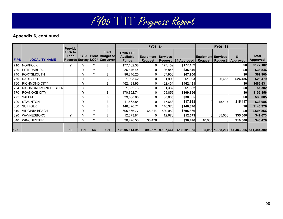|             |                       | <b>Provide</b>                                      |              |              |                                                            | FY06 \$4                                     |                             |                   |                        | FY06 \$1                                    |         |                        |                                           |
|-------------|-----------------------|-----------------------------------------------------|--------------|--------------|------------------------------------------------------------|----------------------------------------------|-----------------------------|-------------------|------------------------|---------------------------------------------|---------|------------------------|-------------------------------------------|
| <b>FIPS</b> | <b>LOCALITY NAME</b>  | <b>SRA to</b><br>Land<br><b>Records Survey LCC*</b> | <b>FY05</b>  |              | <b>Elect</b><br><b>Elect Budget or</b><br><b>Carryover</b> | FY06 TTF<br><b>Available</b><br><b>Funds</b> | Equipment<br><b>Request</b> | <b>Services</b>   | Request   \$4 Approved | <b>Equipment Services</b><br><b>Request</b> | Request | \$1<br><b>Approved</b> | <b>Total</b><br>Approved                  |
| 710         | <b>NORFOLK</b>        | Y                                                   |              | Y            | B                                                          | 177,102.38                                   |                             | 177,102           | \$177,102              |                                             |         | \$0                    | \$177,102                                 |
| 730         | <b>PETERSBURG</b>     |                                                     |              | v            | B                                                          | 36,846.44                                    |                             | 36,846            | \$36,846               |                                             |         | \$0                    | \$36,846                                  |
| 740         | PORTSMOUTH            |                                                     | $\checkmark$ | $\checkmark$ | B                                                          | 96,846.25                                    |                             | 67,900            | \$67,900               |                                             |         | \$0                    | \$67,900                                  |
| 750         | <b>RADFORD</b>        |                                                     | $\checkmark$ |              | B                                                          | 1,993.42                                     |                             | 1,993             | \$1,993                |                                             | 26,486  | \$26,486               | \$28,479                                  |
| 760         | <b>RICHMOND CITY</b>  |                                                     | $\checkmark$ |              | B                                                          | 462,431.96                                   |                             | 462,431           | \$462,431              |                                             |         | \$0                    | \$462,431                                 |
| 764         | RICHMOND-MANCHESTER   |                                                     | $\checkmark$ |              | B                                                          | 1,382.73                                     |                             | 1,382             | \$1,382                |                                             |         | \$0                    | \$1,382                                   |
| 770         | <b>ROANOKE CITY</b>   |                                                     | v            |              | B                                                          | 170,852.74                                   |                             | 109,856           | \$109,856              |                                             |         | \$0                    | \$109,856                                 |
| 775         | <b>SALEM</b>          |                                                     | $\checkmark$ |              | B                                                          | 39,830.80                                    |                             | 38,085            | \$38,085               |                                             |         | \$0                    | \$38,085                                  |
| 790         | <b>STAUNTON</b>       |                                                     | $\checkmark$ |              | B                                                          | 17,668.84                                    |                             | 17,668            | \$17,668               |                                             | 15,417  | \$15,417               | \$33,085                                  |
| 800         | <b>SUFFOLK</b>        |                                                     | v            |              | B                                                          | 146,376.71                                   |                             | 146,376           | \$146,376              |                                             |         | \$0                    | \$146,376                                 |
| 810         | <b>VIRGINIA BEACH</b> |                                                     | $\checkmark$ | v            | B                                                          | 605,866.77                                   | 66,814                      | 539,052           | \$605,866              |                                             |         | \$0                    | \$605,866                                 |
| 820         | <b>WAYNESBORO</b>     | v                                                   |              | $\checkmark$ | B                                                          | 12,673.81                                    |                             | 12,673            | \$12,673               |                                             | 35,000  | \$35,000               | \$47,673                                  |
| 840         | <b>WINCHESTER</b>     |                                                     |              | v            | B                                                          | 30,476.50                                    | 30,476                      |                   | \$30,476               | 10,000                                      |         | \$10,000               | \$40,476                                  |
| 125         |                       | 19                                                  | 121          | 64           | 121                                                        | 10,905,614.95                                |                             | 893,571 9,107,464 | \$10,001,035           |                                             |         |                        | 95,058 1,388,207 \$1,483,265 \$11,484,300 |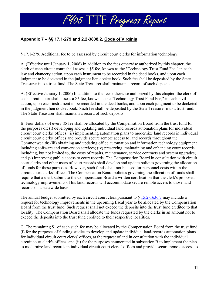## **Appendix 7 – §§ 17.1-279 and 2.2-3808.2, Code of Virginia**

§ 17.1-279. Additional fee to be assessed by circuit court clerks for information technology.

A. (Effective until January 1, 2006) In addition to the fees otherwise authorized by this chapter, the clerk of each circuit court shall assess a \$5 fee, known as the "Technology Trust Fund Fee," in each law and chancery action, upon each instrument to be recorded in the deed books, and upon each judgment to be docketed in the judgment lien docket book. Such fee shall be deposited by the State Treasurer into a trust fund. The State Treasurer shall maintain a record of such deposits.

A. (Effective January 1, 2006) In addition to the fees otherwise authorized by this chapter, the clerk of each circuit court shall assess a \$5 fee, known as the "Technology Trust Fund Fee," in each civil action, upon each instrument to be recorded in the deed books, and upon each judgment to be docketed in the judgment lien docket book. Such fee shall be deposited by the State Treasurer into a trust fund. The State Treasurer shall maintain a record of such deposits.

B. Four dollars of every \$5 fee shall be allocated by the Compensation Board from the trust fund for the purposes of: (i) developing and updating individual land records automation plans for individual circuit court clerks' offices; (ii) implementing automation plans to modernize land records in individual circuit court clerks' offices and provide secure remote access to land records throughout the Commonwealth; (iii) obtaining and updating office automation and information technology equipment including software and conversion services; (iv) preserving, maintaining and enhancing court records, including, but not limited to, the costs of repairs, maintenance, service contracts and system upgrades; and (v) improving public access to court records. The Compensation Board in consultation with circuit court clerks and other users of court records shall develop and update policies governing the allocation of funds for these purposes. However, such funds shall not be used for personnel costs within the circuit court clerks' offices. The Compensation Board policies governing the allocation of funds shall require that a clerk submit to the Compensation Board a written certification that the clerk's proposed technology improvements of his land records will accommodate secure remote access to those land records on a statewide basis.

The annual budget submitted by each circuit court clerk pursuant to  $\S 15.2$ -1636.7 may include a request for technology improvements in the upcoming fiscal year to be allocated by the Compensation Board from the trust fund. Such request shall not exceed the deposits into the trust fund credited to that locality. The Compensation Board shall allocate the funds requested by the clerks in an amount not to exceed the deposits into the trust fund credited to their respective localities.

C. The remaining \$1 of each such fee may be allocated by the Compensation Board from the trust fund (i) for the purposes of funding studies to develop and update individual land-records automation plans for individual circuit court clerks' offices, at the request of and in consultation with the individual circuit court clerk's offices, and (ii) for the purposes enumerated in subsection B to implement the plan to modernize land records in individual circuit court clerks' offices and provide secure remote access to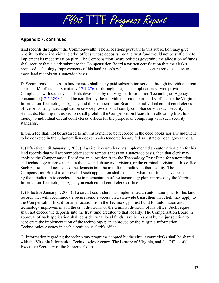## **Appendix 7, continued**

land records throughout the Commonwealth. The allocations pursuant to this subsection may give priority to those individual clerks' offices whose deposits into the trust fund would not be sufficient to implement its modernization plan. The Compensation Board policies governing the allocation of funds shall require that a clerk submit to the Compensation Board a written certification that the clerk's proposed technology improvements of his land records will accommodate secure remote access to those land records on a statewide basis.

D. Secure remote access to land records shall be by paid subscription service through individual circuit court clerk's offices pursuant to § 17.1-276, or through designated application service providers. Compliance with security standards developed by the Virginia Information Technologies Agency pursuant to § 2.2-3808.2 shall be certified by the individual circuit court clerks' offices to the Virginia Information Technologies Agency and the Compensation Board. The individual circuit court clerk's office or its designated application service provider shall certify compliance with such security standards. Nothing in this section shall prohibit the Compensation Board from allocating trust fund money to individual circuit court clerks' offices for the purpose of complying with such security standards.

E. Such fee shall not be assessed to any instrument to be recorded in the deed books nor any judgment to be docketed in the judgment lien docket books tendered by any federal, state or local government.

F. (Effective until January 1, 2006) If a circuit court clerk has implemented an automation plan for his land records that will accommodate secure remote access on a statewide basis, then that clerk may apply to the Compensation Board for an allocation from the Technology Trust Fund for automation and technology improvements in the law and chancery divisions, or the criminal division, of his office. Such request shall not exceed the deposits into the trust fund credited to that locality. The Compensation Board in approval of such application shall consider what local funds have been spent by the jurisdiction to accelerate the implementation of the technology plan approved by the Virginia Information Technologies Agency in each circuit court clerk's office.

F. (Effective January 1, 2006) If a circuit court clerk has implemented an automation plan for his land records that will accommodate secure remote access on a statewide basis, then that clerk may apply to the Compensation Board for an allocation from the Technology Trust Fund for automation and technology improvements in the civil divisions, or the criminal division, of his office. Such request shall not exceed the deposits into the trust fund credited to that locality. The Compensation Board in approval of such application shall consider what local funds have been spent by the jurisdiction to accelerate the implementation of the technology plan approved by the Virginia Information Technologies Agency in each circuit court clerk's office.

G. Information regarding the technology programs adopted by the circuit court clerks shall be shared with the Virginia Information Technologies Agency, The Library of Virginia, and the Office of the Executive Secretary of the Supreme Court.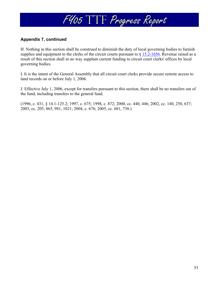## **Appendix 7, continued**

H. Nothing in this section shall be construed to diminish the duty of local governing bodies to furnish supplies and equipment to the clerks of the circuit courts pursuant to  $\S 15.2$ -1656. Revenue raised as a result of this section shall in no way supplant current funding to circuit court clerks' offices by local governing bodies.

I. It is the intent of the General Assembly that all circuit court clerks provide secure remote access to land records on or before July 1, 2006.

J. Effective July 1, 2006, except for transfers pursuant to this section, there shall be no transfers out of the fund, including transfers to the general fund.

(1996, c. 431, § 14.1-125.2; 1997, c. 675; 1998, c. 872; 2000, cc. 440, 446; 2002, cc. 140, 250, 637; 2003, cc. 205, 865, 981, 1021; 2004, c. 676; 2005, cc. 681, 738.)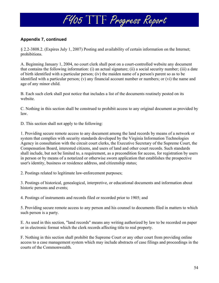## **Appendix 7, continued**

§ 2.2-3808.2. (Expires July 1, 2007) Posting and availability of certain information on the Internet; prohibitions.

A. Beginning January 1, 2004, no court clerk shall post on a court-controlled website any document that contains the following information: (i) an actual signature; (ii) a social security number; (iii) a date of birth identified with a particular person; (iv) the maiden name of a person's parent so as to be identified with a particular person; (v) any financial account number or numbers; or (vi) the name and age of any minor child.

B. Each such clerk shall post notice that includes a list of the documents routinely posted on its website.

C. Nothing in this section shall be construed to prohibit access to any original document as provided by law.

D. This section shall not apply to the following:

1. Providing secure remote access to any document among the land records by means of a network or system that complies with security standards developed by the Virginia Information Technologies Agency in consultation with the circuit court clerks, the Executive Secretary of the Supreme Court, the Compensation Board, interested citizens, and users of land and other court records. Such standards shall include, but not be limited to, a requirement, as a precondition for access, for registration by users in person or by means of a notarized or otherwise sworn application that establishes the prospective user's identity, business or residence address, and citizenship status;

2. Postings related to legitimate law-enforcement purposes;

3. Postings of historical, genealogical, interpretive, or educational documents and information about historic persons and events;

4. Postings of instruments and records filed or recorded prior to 1905; and

5. Providing secure remote access to any person and his counsel to documents filed in matters to which such person is a party.

E. As used in this section, "land records" means any writing authorized by law to be recorded on paper or in electronic format which the clerk records affecting title to real property.

F. Nothing in this section shall prohibit the Supreme Court or any other court from providing online access to a case management system which may include abstracts of case filings and proceedings in the courts of the Commonwealth.